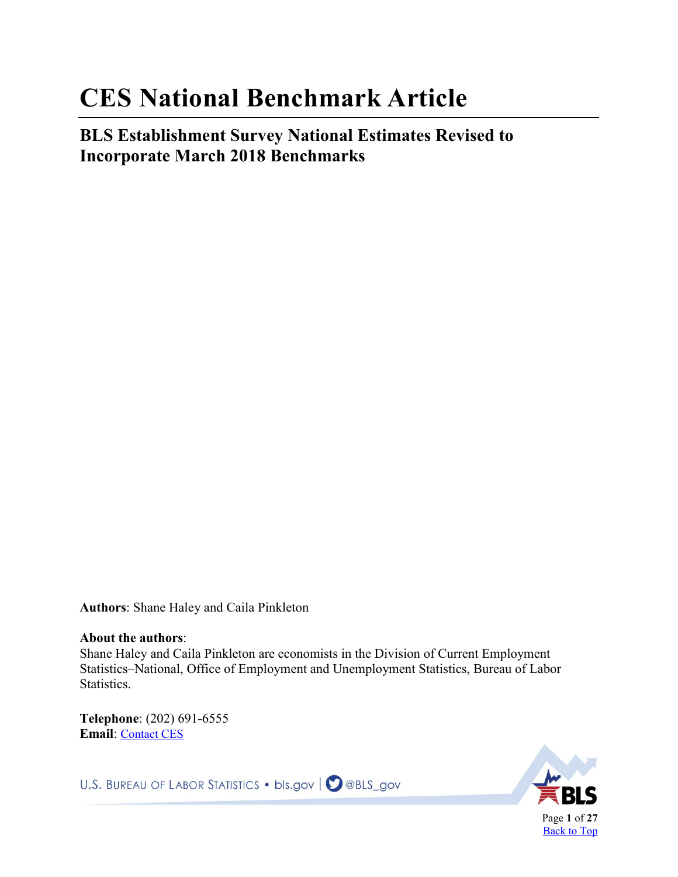# <span id="page-0-1"></span><span id="page-0-0"></span>**CES National Benchmark Article**

**BLS Establishment Survey National Estimates Revised to Incorporate March 2018 Benchmarks** 

**Authors**: Shane Haley and Caila Pinkleton

#### **About the authors**:

Shane Haley and Caila Pinkleton are economists in the Division of Current Employment Statistics–National, Office of Employment and Unemployment Statistics, Bureau of Labor Statistics.

**Telephone**: (202) 691-6555 **Email**: [Contact CES](https://data.bls.gov/cgi-bin/forms/cer?/ces/cesphone.htm) 

U.S. BUREAU OF LABOR STATISTICS • bls.gov | **O** @BLS\_gov

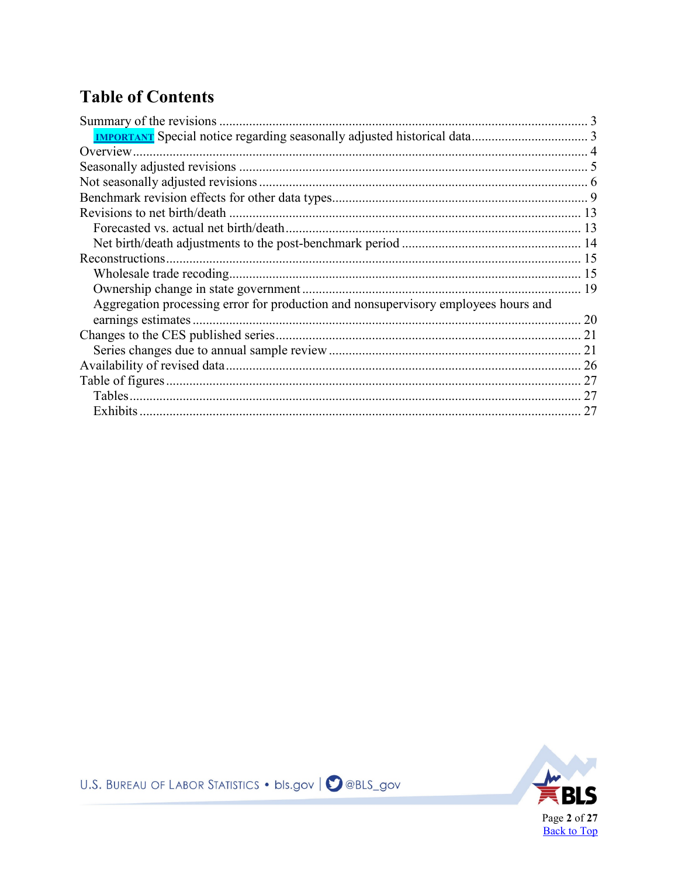# **Table of Contents**

| Aggregation processing error for production and nonsupervisory employees hours and |    |
|------------------------------------------------------------------------------------|----|
| earnings estimates                                                                 |    |
|                                                                                    |    |
|                                                                                    |    |
|                                                                                    |    |
|                                                                                    | 27 |
|                                                                                    | 27 |
|                                                                                    | 27 |

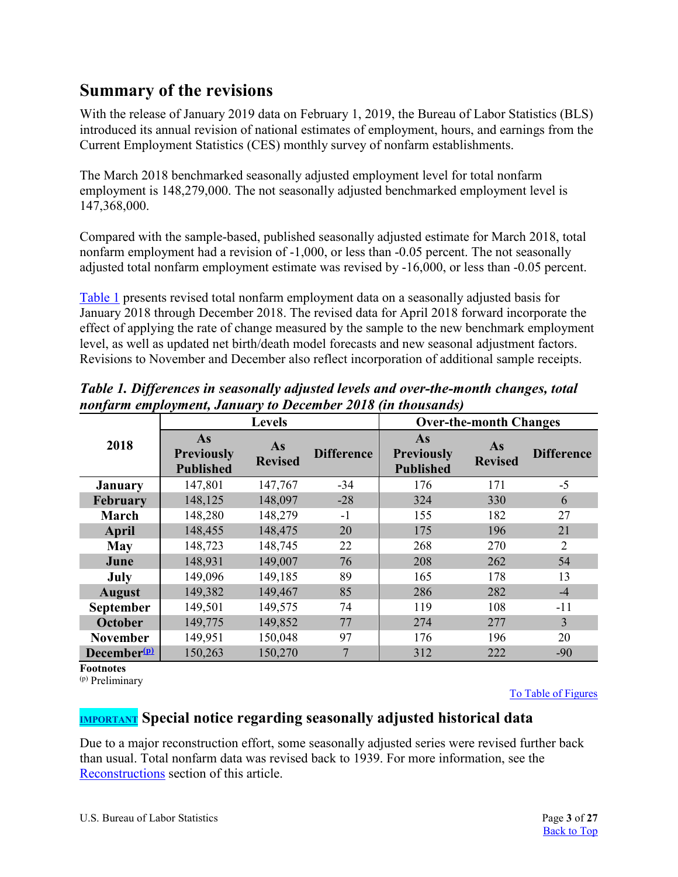# <span id="page-2-0"></span>**Summary of the revisions**

With the release of January 2019 data on February 1, 2019, the Bureau of Labor Statistics (BLS) introduced its annual revision of national estimates of employment, hours, and earnings from the Current Employment Statistics (CES) monthly survey of nonfarm establishments.

The March 2018 benchmarked seasonally adjusted employment level for total nonfarm employment is 148,279,000. The not seasonally adjusted benchmarked employment level is 147,368,000.

Compared with the sample-based, published seasonally adjusted estimate for March 2018, total nonfarm employment had a revision of -1,000, or less than -0.05 percent. The not seasonally adjusted total nonfarm employment estimate was revised by -16,000, or less than -0.05 percent.

[Table 1](#page-2-2) presents revised total nonfarm employment data on a seasonally adjusted basis for January 2018 through December 2018. The revised data for April 2018 forward incorporate the effect of applying the rate of change measured by the sample to the new benchmark employment level, as well as updated net birth/death model forecasts and new seasonal adjustment factors. Revisions to November and December also reflect incorporation of additional sample receipts.

|                         |                                             | <b>Levels</b>        |                   |                                             | <b>Over-the-month Changes</b> |                   |
|-------------------------|---------------------------------------------|----------------------|-------------------|---------------------------------------------|-------------------------------|-------------------|
| 2018                    | As<br><b>Previously</b><br><b>Published</b> | As<br><b>Revised</b> | <b>Difference</b> | As<br><b>Previously</b><br><b>Published</b> | As<br><b>Revised</b>          | <b>Difference</b> |
| <b>January</b>          | 147,801                                     | 147,767              | $-34$             | 176                                         | 171                           | $-5$              |
| <b>February</b>         | 148,125                                     | 148,097              | $-28$             | 324                                         | 330                           | 6                 |
| March                   | 148,280                                     | 148,279              | $-1$              | 155                                         | 182                           | 27                |
| April                   | 148,455                                     | 148,475              | 20                | 175                                         | 196                           | 21                |
| May                     | 148,723                                     | 148,745              | 22                | 268                                         | 270                           | $\overline{2}$    |
| June                    | 148,931                                     | 149,007              | 76                | 208                                         | 262                           | 54                |
| July                    | 149,096                                     | 149,185              | 89                | 165                                         | 178                           | 13                |
| <b>August</b>           | 149,382                                     | 149,467              | 85                | 286                                         | 282                           | $-4$              |
| <b>September</b>        | 149,501                                     | 149,575              | 74                | 119                                         | 108                           | $-11$             |
| <b>October</b>          | 149,775                                     | 149,852              | 77                | 274                                         | 277                           | $\overline{3}$    |
| <b>November</b>         | 149,951                                     | 150,048              | 97                | 176                                         | 196                           | 20                |
| December <sup>(p)</sup> | 150,263                                     | 150,270              | $\overline{7}$    | 312                                         | 222                           | $-90$             |

<span id="page-2-2"></span>*Table 1. Differences in seasonally adjusted levels and over-the-month changes, total nonfarm employment, January to December 2018 (in thousands)* 

**Footnotes**

<span id="page-2-3"></span>(p) Preliminary

[To Table of Figures](#page-26-0)

### <span id="page-2-1"></span>**IMPORTANT Special notice regarding seasonally adjusted historical data**

Due to a major reconstruction effort, some seasonally adjusted series were revised further back than usual. Total nonfarm data was revised back to 1939. For more information, see the [Reconstructions](#page-14-0) section of this article.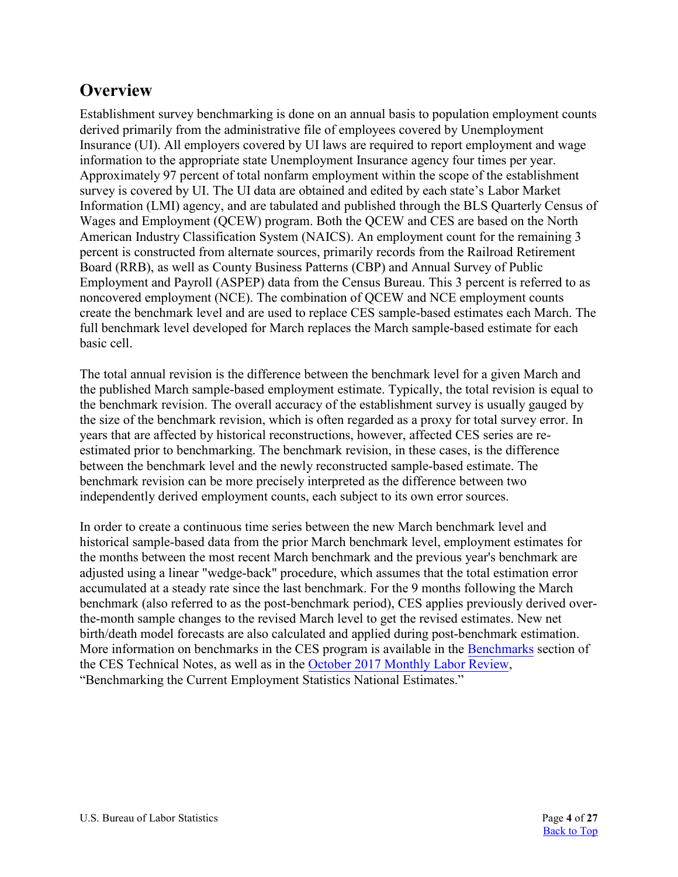# <span id="page-3-0"></span>**Overview**

Establishment survey benchmarking is done on an annual basis to population employment counts derived primarily from the administrative file of employees covered by Unemployment Insurance (UI). All employers covered by UI laws are required to report employment and wage information to the appropriate state Unemployment Insurance agency four times per year. Approximately 97 percent of total nonfarm employment within the scope of the establishment survey is covered by UI. The UI data are obtained and edited by each state's Labor Market Information (LMI) agency, and are tabulated and published through the BLS Quarterly Census of Wages and Employment (QCEW) program. Both the QCEW and CES are based on the North American Industry Classification System (NAICS). An employment count for the remaining 3 percent is constructed from alternate sources, primarily records from the Railroad Retirement Board (RRB), as well as County Business Patterns (CBP) and Annual Survey of Public Employment and Payroll (ASPEP) data from the Census Bureau. This 3 percent is referred to as noncovered employment (NCE). The combination of QCEW and NCE employment counts create the benchmark level and are used to replace CES sample-based estimates each March. The full benchmark level developed for March replaces the March sample-based estimate for each basic cell.

The total annual revision is the difference between the benchmark level for a given March and the published March sample-based employment estimate. Typically, the total revision is equal to the benchmark revision. The overall accuracy of the establishment survey is usually gauged by the size of the benchmark revision, which is often regarded as a proxy for total survey error. In years that are affected by historical reconstructions, however, affected CES series are reestimated prior to benchmarking. The benchmark revision, in these cases, is the difference between the benchmark level and the newly reconstructed sample-based estimate. The benchmark revision can be more precisely interpreted as the difference between two independently derived employment counts, each subject to its own error sources.

In order to create a continuous time series between the new March benchmark level and historical sample-based data from the prior March benchmark level, employment estimates for the months between the most recent March benchmark and the previous year's benchmark are adjusted using a linear "wedge-back" procedure, which assumes that the total estimation error accumulated at a steady rate since the last benchmark. For the 9 months following the March benchmark (also referred to as the post-benchmark period), CES applies previously derived overthe-month sample changes to the revised March level to get the revised estimates. New net birth/death model forecasts are also calculated and applied during post-benchmark estimation. More information on benchmarks in the CES program is available in the [Benchmarks](https://www.bls.gov/web/empsit/cestn.htm#section7b) section of the CES Technical Notes, as well as in th[e October 2017 Monthly Labor Review,](https://www.bls.gov/opub/mlr/2017/article/benchmarking-the-current-employment-statistics-national-estimates.htm) "Benchmarking the Current Employment Statistics National Estimates."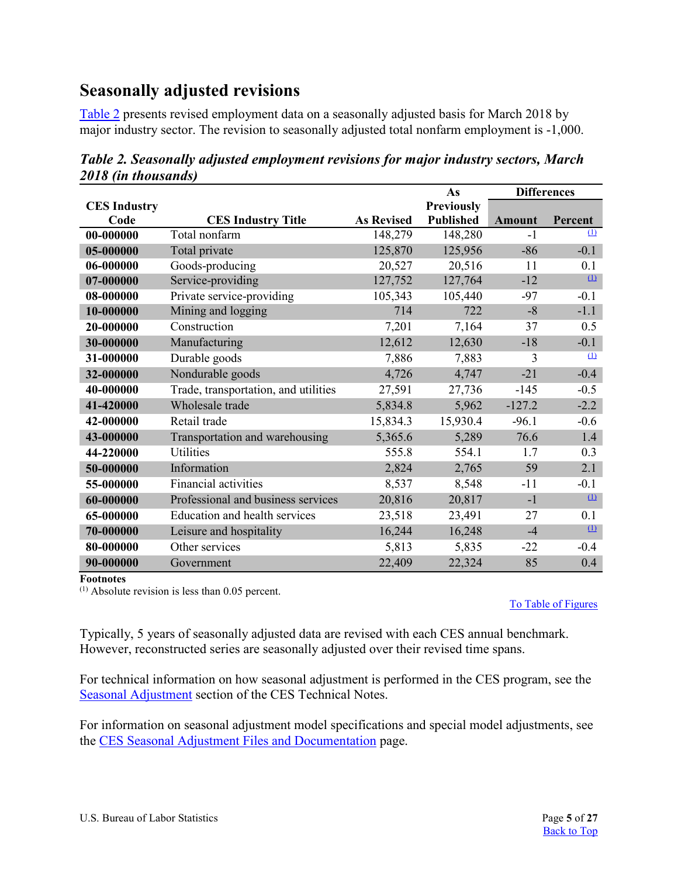# <span id="page-4-0"></span>**Seasonally adjusted revisions**

[Table 2](#page-4-1) presents revised employment data on a seasonally adjusted basis for March 2018 by major industry sector. The revision to seasonally adjusted total nonfarm employment is -1,000.

|                     |                                      |                   | As                |               | <b>Differences</b> |
|---------------------|--------------------------------------|-------------------|-------------------|---------------|--------------------|
| <b>CES Industry</b> |                                      |                   | <b>Previously</b> |               |                    |
| Code                | <b>CES Industry Title</b>            | <b>As Revised</b> | <b>Published</b>  | <b>Amount</b> | Percent            |
| 00-000000           | Total nonfarm                        | 148,279           | 148,280           | $-1$          | (1)                |
| 05-000000           | Total private                        | 125,870           | 125,956           | $-86$         | $-0.1$             |
| 06-000000           | Goods-producing                      | 20,527            | 20,516            | 11            | 0.1                |
| 07-000000           | Service-providing                    | 127,752           | 127,764           | $-12$         | $\mathbf{u}$       |
| 08-000000           | Private service-providing            | 105,343           | 105,440           | $-97$         | $-0.1$             |
| 10-000000           | Mining and logging                   | 714               | 722               | $-8$          | $-1.1$             |
| 20-000000           | Construction                         | 7,201             | 7,164             | 37            | 0.5                |
| 30-000000           | Manufacturing                        | 12,612            | 12,630            | $-18$         | $-0.1$             |
| 31-000000           | Durable goods                        | 7,886             | 7,883             | 3             | $\Omega$           |
| 32-000000           | Nondurable goods                     | 4,726             | 4,747             | $-21$         | $-0.4$             |
| 40-000000           | Trade, transportation, and utilities | 27,591            | 27,736            | $-145$        | $-0.5$             |
| 41-420000           | Wholesale trade                      | 5,834.8           | 5,962             | $-127.2$      | $-2.2$             |
| 42-000000           | Retail trade                         | 15,834.3          | 15,930.4          | $-96.1$       | $-0.6$             |
| 43-000000           | Transportation and warehousing       | 5,365.6           | 5,289             | 76.6          | 1.4                |
| 44-220000           | Utilities                            | 555.8             | 554.1             | 1.7           | 0.3                |
| 50-000000           | Information                          | 2,824             | 2,765             | 59            | 2.1                |
| 55-000000           | Financial activities                 | 8,537             | 8,548             | $-11$         | $-0.1$             |
| 60-000000           | Professional and business services   | 20,816            | 20,817            | $-1$          | $\mathbf{u}$       |
| 65-000000           | Education and health services        | 23,518            | 23,491            | 27            | 0.1                |
| 70-000000           | Leisure and hospitality              | 16,244            | 16,248            | $-4$          | $\Omega$           |
| 80-000000           | Other services                       | 5,813             | 5,835             | $-22$         | $-0.4$             |
| 90-000000           | Government                           | 22,409            | 22,324            | 85            | 0.4                |

<span id="page-4-1"></span>*Table 2. Seasonally adjusted employment revisions for major industry sectors, March 2018 (in thousands)*

**Footnotes** 

<span id="page-4-2"></span> $(1)$  Absolute revision is less than 0.05 percent.

[To Table of Figures](#page-26-0)

Typically, 5 years of seasonally adjusted data are revised with each CES annual benchmark. However, reconstructed series are seasonally adjusted over their revised time spans.

For technical information on how seasonal adjustment is performed in the CES program, see the [Seasonal Adjustment](https://www.bls.gov/web/empsit/cestn.htm#section6e) section of the CES Technical Notes.

For information on seasonal adjustment model specifications and special model adjustments, see the [CES Seasonal Adjustment Files and Documentation](http://www.bls.gov/web/empsit/cesseasadj.htm) page.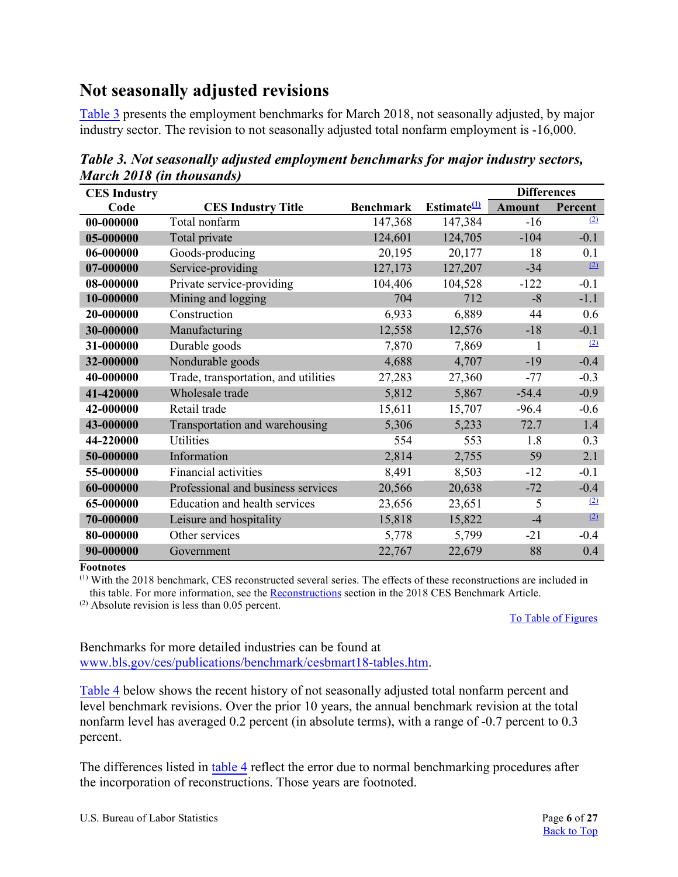# <span id="page-5-0"></span>**Not seasonally adjusted revisions**

[Table 3](#page-5-1) presents the employment benchmarks for March 2018, not seasonally adjusted, by major industry sector. The revision to not seasonally adjusted total nonfarm employment is -16,000.

| <b>CES Industry</b> |                                      |                  |                         | <b>Differences</b> |         |
|---------------------|--------------------------------------|------------------|-------------------------|--------------------|---------|
| Code                | <b>CES Industry Title</b>            | <b>Benchmark</b> | Estimate <sup>(1)</sup> | <b>Amount</b>      | Percent |
| 00-000000           | Total nonfarm                        | 147,368          | 147,384                 | $-16$              | (2)     |
| 05-000000           | Total private                        | 124,601          | 124,705                 | $-104$             | $-0.1$  |
| 06-000000           | Goods-producing                      | 20,195           | 20,177                  | 18                 | 0.1     |
| 07-000000           | Service-providing                    | 127,173          | 127,207                 | $-34$              | (2)     |
| 08-000000           | Private service-providing            | 104,406          | 104,528                 | $-122$             | $-0.1$  |
| 10-000000           | Mining and logging                   | 704              | 712                     | $-8$               | $-1.1$  |
| 20-000000           | Construction                         | 6,933            | 6,889                   | 44                 | 0.6     |
| 30-000000           | Manufacturing                        | 12,558           | 12,576                  | $-18$              | $-0.1$  |
| 31-000000           | Durable goods                        | 7,870            | 7,869                   | 1                  | (2)     |
| 32-000000           | Nondurable goods                     | 4,688            | 4,707                   | $-19$              | $-0.4$  |
| 40-000000           | Trade, transportation, and utilities | 27,283           | 27,360                  | $-77$              | $-0.3$  |
| 41-420000           | Wholesale trade                      | 5,812            | 5,867                   | $-54.4$            | $-0.9$  |
| 42-000000           | Retail trade                         | 15,611           | 15,707                  | $-96.4$            | $-0.6$  |
| 43-000000           | Transportation and warehousing       | 5,306            | 5,233                   | 72.7               | 1.4     |
| 44-220000           | <b>Utilities</b>                     | 554              | 553                     | 1.8                | 0.3     |
| 50-000000           | Information                          | 2,814            | 2,755                   | 59                 | 2.1     |
| 55-000000           | Financial activities                 | 8,491            | 8,503                   | $-12$              | $-0.1$  |
| 60-000000           | Professional and business services   | 20,566           | 20,638                  | $-72$              | $-0.4$  |
| 65-000000           | Education and health services        | 23,656           | 23,651                  | 5                  | (2)     |
| 70-000000           | Leisure and hospitality              | 15,818           | 15,822                  | $-4$               | (2)     |
| 80-000000           | Other services                       | 5,778            | 5,799                   | $-21$              | $-0.4$  |
| 90-000000           | Government                           | 22,767           | 22,679                  | 88                 | 0.4     |

<span id="page-5-1"></span>*Table 3. Not seasonally adjusted employment benchmarks for major industry sectors, March 2018 (in thousands)* 

**Footnotes** 

<span id="page-5-2"></span>(1) With the 2018 benchmark, CES reconstructed several series. The effects of these reconstructions are included in this table. For more information, see the [Reconstructions](#page-14-0) section in the 2018 CES Benchmark Article.

<span id="page-5-3"></span>(2) Absolute revision is less than 0.05 percent.

[To Table of Figures](#page-26-0)

Benchmarks for more detailed industries can be found at <www.bls.gov/ces/publications/benchmark/cesbmart18-tables.htm>.

[Table 4](#page-6-0) below shows the recent history of not seasonally adjusted total nonfarm percent and level benchmark revisions. Over the prior 10 years, the annual benchmark revision at the total nonfarm level has averaged 0.2 percent (in absolute terms), with a range of -0.7 percent to 0.3 percent.

The differences listed in [table 4](#page-6-0) reflect the error due to normal benchmarking procedures after the incorporation of reconstructions. Those years are footnoted.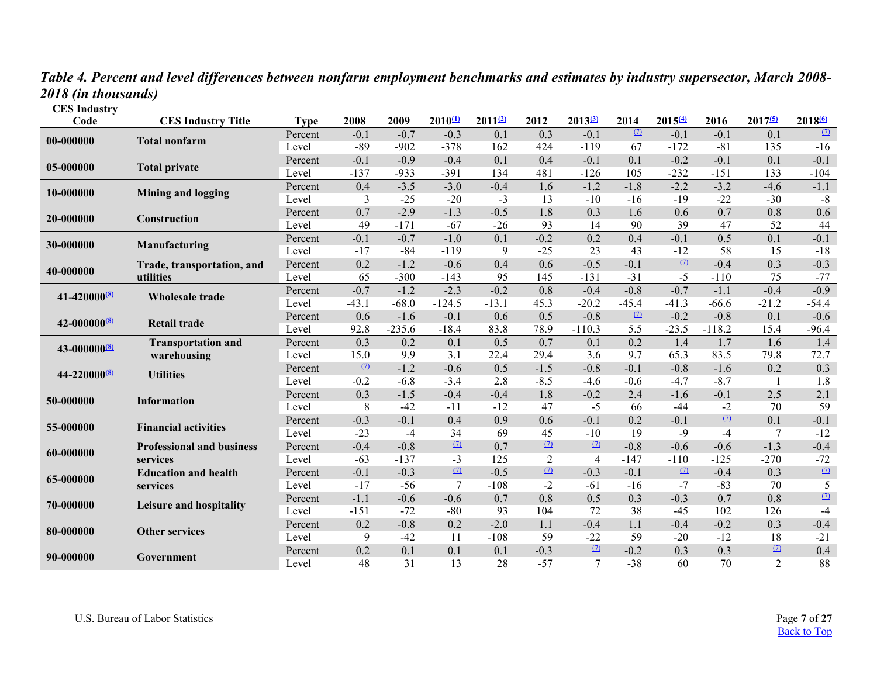*Table 4. Percent and level differences between nonfarm employment benchmarks and estimates by industry supersector, March 2008- 2018 (in thousands)* 

<span id="page-6-0"></span>

| <b>CES</b> Industry<br>Code |                                  |                        | 2008     | 2009     | $2010^{(1)}$ | $2011^{2}$       | 2012           | $2013^{(3)}$   | 2014             | $2015^{(4)}$ | 2016     | $2017^{6}$       | 201860           |
|-----------------------------|----------------------------------|------------------------|----------|----------|--------------|------------------|----------------|----------------|------------------|--------------|----------|------------------|------------------|
|                             | <b>CES Industry Title</b>        | <b>Type</b><br>Percent | $-0.1$   | $-0.7$   | $-0.3$       | 0.1              | 0.3            | $-0.1$         | $\Omega$         | $-0.1$       | $-0.1$   | $\overline{0.1}$ | $\Omega$         |
| 00-000000                   | <b>Total nonfarm</b>             | Level                  | $-89$    | $-902$   | $-378$       | 162              | 424            | $-119$         | 67               | $-172$       | $-81$    | 135              | $-16$            |
|                             |                                  | Percent                | $-0.1$   | $-0.9$   | $-0.4$       | $\overline{0.1}$ | 0.4            | $-0.1$         | $\overline{0.1}$ | $-0.2$       | $-0.1$   | $\overline{0.1}$ | $-0.1$           |
| 05-000000                   | <b>Total private</b>             | Level                  | $-137$   | $-933$   | $-391$       | 134              | 481            | $-126$         | 105              | $-232$       | $-151$   | 133              | $-104$           |
|                             |                                  | Percent                | 0.4      | $-3.5$   | $-3.0$       | $-0.4$           | 1.6            | $-1.2$         | $-1.8$           | $-2.2$       | $-3.2$   | $-4.6$           | $-1.1$           |
| 10-000000                   | <b>Mining and logging</b>        | Level                  | 3        | $-25$    | $-20$        | $-3$             | 13             | $-10$          | $-16$            | $-19$        | $-22$    | $-30$            | $-8$             |
|                             |                                  | Percent                | 0.7      | $-2.9$   | $-1.3$       | $-0.5$           | 1.8            | 0.3            | 1.6              | 0.6          | 0.7      | 0.8              | 0.6              |
| 20-000000                   | Construction                     | Level                  | 49       | $-171$   | $-67$        | $-26$            | 93             | 14             | 90               | 39           | 47       | 52               | 44               |
|                             |                                  | Percent                | $-0.1$   | $-0.7$   | $-1.0$       | 0.1              | $-0.2$         | 0.2            | 0.4              | $-0.1$       | 0.5      | 0.1              | $-0.1$           |
| 30-000000                   | Manufacturing                    | Level                  | $-17$    | $-84$    | $-119$       | 9                | $-25$          | 23             | 43               | $-12$        | 58       | 15               | $-18$            |
|                             | Trade, transportation, and       | Percent                | 0.2      | $-1.2$   | $-0.6$       | 0.4              | 0.6            | $-0.5$         | $-0.1$           | (7)          | $-0.4$   | 0.3              | $-0.3$           |
| 40-000000                   | utilities                        | Level                  | 65       | $-300$   | $-143$       | 95               | 145            | $-131$         | $-31$            | $-5$         | $-110$   | 75               | $-77$            |
|                             |                                  | Percent                | $-0.7$   | $-1.2$   | $-2.3$       | $-0.2$           | 0.8            | $-0.4$         | $-0.8$           | $-0.7$       | $-1.1$   | $-0.4$           | $-0.9$           |
| 41-420000 <sup>(8)</sup>    | <b>Wholesale trade</b>           | Level                  | $-43.1$  | $-68.0$  | $-124.5$     | $-13.1$          | 45.3           | $-20.2$        | $-45.4$          | $-41.3$      | $-66.6$  | $-21.2$          | $-54.4$          |
|                             | <b>Retail trade</b>              | Percent                | 0.6      | $-1.6$   | $-0.1$       | 0.6              | 0.5            | $-0.8$         | $\Omega$         | $-0.2$       | $-0.8$   | 0.1              | $-0.6$           |
|                             |                                  | Level                  | 92.8     | $-235.6$ | $-18.4$      | 83.8             | 78.9           | $-110.3$       | 5.5              | $-23.5$      | $-118.2$ | 15.4             | $-96.4$          |
|                             | <b>Transportation and</b>        | Percent                | 0.3      | 0.2      | 0.1          | 0.5              | 0.7            | 0.1            | 0.2              | 1.4          | 1.7      | 1.6              | 1.4              |
|                             | warehousing                      | Level                  | 15.0     | 9.9      | 3.1          | 22.4             | 29.4           | 3.6            | 9.7              | 65.3         | 83.5     | 79.8             | 72.7             |
|                             |                                  |                        | $\Omega$ | $-1.2$   | $-0.6$       | 0.5              | $-1.5$         | $-0.8$         | $-0.1$           | $-0.8$       | $-1.6$   | 0.2              | 0.3              |
| 44-220000 <sup>(8)</sup>    | <b>Utilities</b>                 | Percent<br>Level       | $-0.2$   | $-6.8$   | $-3.4$       | 2.8              | $-8.5$         | $-4.6$         | $-0.6$           | $-4.7$       | $-8.7$   |                  | 1.8              |
|                             |                                  | Percent                | 0.3      | $-1.5$   | $-0.4$       | $-0.4$           | 1.8            | $-0.2$         | 2.4              | $-1.6$       | $-0.1$   | 2.5              | $\overline{2.1}$ |
| 50-000000                   | <b>Information</b>               | Level                  | 8        | $-42$    | $-11$        | $-12$            | 47             | $-5$           | 66               | $-44$        | $-2$     | 70               | 59               |
|                             |                                  | Percent                | $-0.3$   | $-0.1$   | 0.4          | 0.9              | 0.6            | $-0.1$         | 0.2              | $-0.1$       | $\Omega$ | 0.1              | $-0.1$           |
| 55-000000                   | <b>Financial activities</b>      | Level                  | $-23$    | $-4$     | 34           | 69               | 45             | $-10$          | 19               | $-9$         | $-4$     | 7                | $-12$            |
|                             | <b>Professional and business</b> | Percent                | $-0.4$   | $-0.8$   | $\Omega$     | 0.7              | (7)            | (7)            | $-0.8$           | $-0.6$       | $-0.6$   | $-1.3$           | $-0.4$           |
| 60-000000                   | services                         | Level                  | $-63$    | $-137$   | $-3$         | 125              | $\overline{2}$ | $\overline{4}$ | $-147$           | $-110$       | $-125$   | $-270$           | $-72$            |
|                             | <b>Education and health</b>      | Percent                | $-0.1$   | $-0.3$   | $\Omega$     | $-0.5$           | $\Omega$       | $-0.3$         | $-0.1$           | $\Omega$     | $-0.4$   | 0.3              | $\Omega$         |
| 65-000000                   | services                         | Level                  | $-17$    | $-56$    |              | $-108$           | $-2$           | $-61$          | $-16$            | $-7$         | $-83$    | 70               | 5                |
| 70-000000                   |                                  | Percent                | $-1.1$   | $-0.6$   | $-0.6$       | 0.7              | 0.8            | 0.5            | 0.3              | $-0.3$       | 0.7      | 0.8              | (7)              |
|                             | Leisure and hospitality          | Level                  | $-151$   | $-72$    | $-80$        | 93               | 104            | 72             | 38               | $-45$        | 102      | 126              | $-4$             |
| 80-000000                   | <b>Other services</b>            | Percent                | 0.2      | $-0.8$   | 0.2          | $-2.0$           | 1.1            | $-0.4$         | 1.1              | $-0.4$       | $-0.2$   | 0.3              | $-0.4$           |
|                             |                                  | Level                  | 9        | $-42$    | 11           | $-108$           | 59             | $-22$          | 59               | $-20$        | $-12$    | 18               | $-21$            |
|                             |                                  | Percent                | 0.2      | 0.1      | 0.1          | 0.1              | $-0.3$         | (7)            | $-0.2$           | 0.3          | 0.3      | $\Omega$         | 0.4              |
| 90-000000                   | Government                       | Level                  | 48       | 31       | 13           | 28               | $-57$          | $\overline{7}$ | $-38$            | 60           | 70       | $\overline{2}$   | 88               |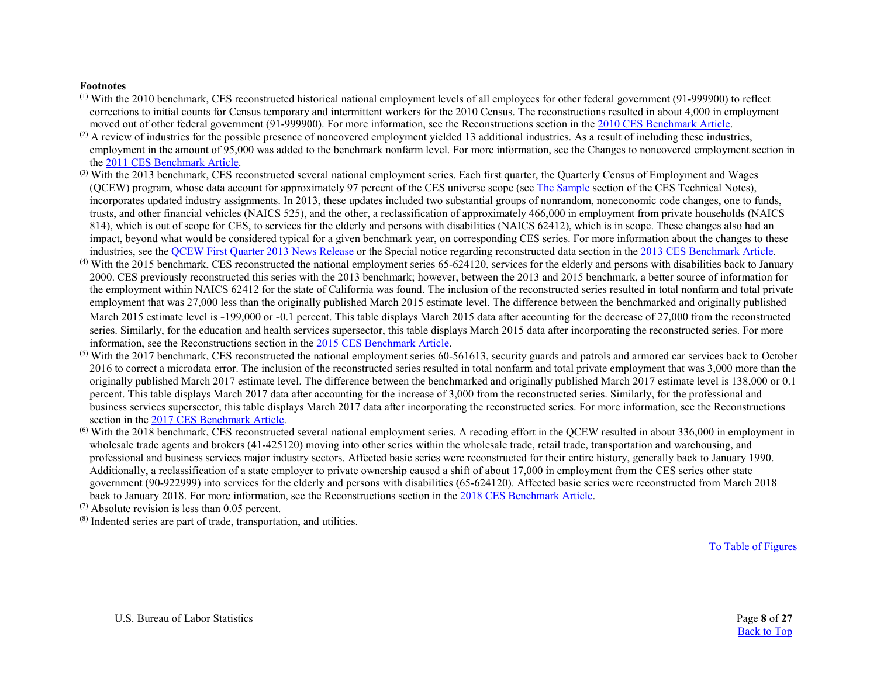#### **Footnotes**

- <span id="page-7-0"></span>(1) With the 2010 benchmark, CES reconstructed historical national employment levels of all employees for other federal government (91-999900) to reflect corrections to initial counts for Census temporary and intermittent workers for the 2010 Census. The reconstructions resulted in about 4,000 in employment moved out of other federal government (91-999900). For more information, see the Reconstructions section in the [2010 CES Benchmark Article.](http://www.bls.gov/ces/publications/benchmark/ces-benchmark-revision-2010.pdf)
- <span id="page-7-1"></span> $^{(2)}$  A review of industries for the possible presence of noncovered employment yielded 13 additional industries. As a result of including these industries, employment in the amount of 95,000 was added to the benchmark nonfarm level. For more information, see the Changes to noncovered employment section in th[e 2011 CES Benchmark Article.](https://www.bls.gov/ces/publications/benchmark/ces-benchmark-revision-2011.pdf)
- <span id="page-7-2"></span><sup>(3)</sup> With the 2013 benchmark, CES reconstructed several national employment series. Each first quarter, the Quarterly Census of Employment and Wages (QCEW) program, whose data account for approximately 97 percent of the CES universe scope (see [The Sample](https://www.bls.gov/web/empsit/cestn.htm#section1) section of the CES Technical Notes), incorporates updated industry assignments. In 2013, these updates included two substantial groups of nonrandom, noneconomic code changes, one to funds, trusts, and other financial vehicles (NAICS 525), and the other, a reclassification of approximately 466,000 in employment from private households (NAICS 814), which is out of scope for CES, to services for the elderly and persons with disabilities (NAICS 62412), which is in scope. These changes also had an impact, beyond what would be considered typical for a given benchmark year, on corresponding CES series. For more information about the changes to these industries, see the [QCEW First Quarter 2013 News Release](http://www.bls.gov/news.release/archives/cewqtr_09262013.htm) or the Special notice regarding reconstructed data section in th[e 2013 CES Benchmark Article.](http://www.bls.gov/ces/publications/benchmark/ces-benchmark-revision-2013.pdf)
- <span id="page-7-3"></span>(4) With the 2015 benchmark, CES reconstructed the national employment series 65-624120, services for the elderly and persons with disabilities back to January 2000. CES previously reconstructed this series with the 2013 benchmark; however, between the 2013 and 2015 benchmark, a better source of information for the employment within NAICS 62412 for the state of California was found. The inclusion of the reconstructed series resulted in total nonfarm and total private employment that was 27,000 less than the originally published March 2015 estimate level. The difference between the benchmarked and originally published March 2015 estimate level is -199,000 or -0.1 percent. This table displays March 2015 data after accounting for the decrease of 27,000 from the reconstructed series. Similarly, for the education and health services supersector, this table displays March 2015 data after incorporating the reconstructed series. For more information, see the Reconstructions section in the [2015 CES Benchmark Article.](https://www.bls.gov/ces/publications/benchmark/ces-benchmark-revision-2015.pdf)
- <span id="page-7-4"></span> $<sup>(5)</sup>$  With the 2017 benchmark, CES reconstructed the national employment series 60-561613, security guards and patrols and armored car services back to October</sup> 2016 to correct a microdata error. The inclusion of the reconstructed series resulted in total nonfarm and total private employment that was 3,000 more than the originally published March 2017 estimate level. The difference between the benchmarked and originally published March 2017 estimate level is 138,000 or 0.1 percent. This table displays March 2017 data after accounting for the increase of 3,000 from the reconstructed series. Similarly, for the professional and business services supersector, this table displays March 2017 data after incorporating the reconstructed series. For more information, see the Reconstructions section in the [2017 CES Benchmark Article.](https://www.bls.gov/ces/publications/benchmark/ces-benchmark-revision-2015.pdf)
- <span id="page-7-5"></span>(6) With the 2018 benchmark, CES reconstructed several national employment series. A recoding effort in the QCEW resulted in about 336,000 in employment in wholesale trade agents and brokers (41-425120) moving into other series within the wholesale trade, retail trade, transportation and warehousing, and professional and business services major industry sectors. Affected basic series were reconstructed for their entire history, generally back to January 1990. Additionally, a reclassification of a state employer to private ownership caused a shift of about 17,000 in employment from the CES series other state government (90-922999) into services for the elderly and persons with disabilities (65-624120). Affected basic series were reconstructed from March 2018 back to January 2018. For more information, see the Reconstructions section in the [2018 CES Benchmark Article.](https://www.bls.gov/ces/publications/benchmark/ces-benchmark-revision-2018.pdf)

<span id="page-7-6"></span>(7) Absolute revision is less than 0.05 percent.

<span id="page-7-7"></span>(8) Indented series are part of trade, transportation, and utilities.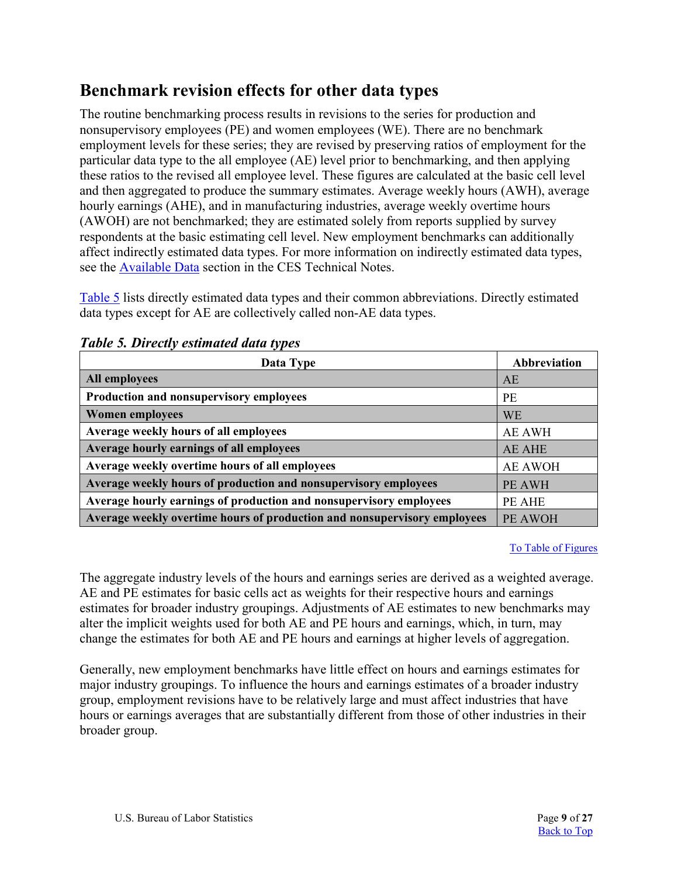# <span id="page-8-0"></span>**Benchmark revision effects for other data types**

The routine benchmarking process results in revisions to the series for production and nonsupervisory employees (PE) and women employees (WE). There are no benchmark employment levels for these series; they are revised by preserving ratios of employment for the particular data type to the all employee (AE) level prior to benchmarking, and then applying these ratios to the revised all employee level. These figures are calculated at the basic cell level and then aggregated to produce the summary estimates. Average weekly hours (AWH), average hourly earnings (AHE), and in manufacturing industries, average weekly overtime hours (AWOH) are not benchmarked; they are estimated solely from reports supplied by survey respondents at the basic estimating cell level. New employment benchmarks can additionally affect indirectly estimated data types. For more information on indirectly estimated data types, see the [Available Data](https://www.bls.gov/web/empsit/cestn.htm#section3) section in the CES Technical Notes.

[Table 5](#page-8-1) lists directly estimated data types and their common abbreviations. Directly estimated data types except for AE are collectively called non-AE data types.

| Data Type                                                                | Abbreviation   |
|--------------------------------------------------------------------------|----------------|
| <b>All employees</b>                                                     | AE             |
| Production and nonsupervisory employees                                  | <b>PE</b>      |
| <b>Women employees</b>                                                   | <b>WE</b>      |
| Average weekly hours of all employees                                    | <b>AE AWH</b>  |
| Average hourly earnings of all employees                                 | <b>AE AHE</b>  |
| Average weekly overtime hours of all employees                           | <b>AE AWOH</b> |
| Average weekly hours of production and nonsupervisory employees          | PE AWH         |
| Average hourly earnings of production and nonsupervisory employees       | PE AHE         |
| Average weekly overtime hours of production and nonsupervisory employees | PE AWOH        |

### <span id="page-8-1"></span>*Table 5. Directly estimated data types*

#### [To Table of Figures](#page-26-0)

The aggregate industry levels of the hours and earnings series are derived as a weighted average. AE and PE estimates for basic cells act as weights for their respective hours and earnings estimates for broader industry groupings. Adjustments of AE estimates to new benchmarks may alter the implicit weights used for both AE and PE hours and earnings, which, in turn, may change the estimates for both AE and PE hours and earnings at higher levels of aggregation.

Generally, new employment benchmarks have little effect on hours and earnings estimates for major industry groupings. To influence the hours and earnings estimates of a broader industry group, employment revisions have to be relatively large and must affect industries that have hours or earnings averages that are substantially different from those of other industries in their broader group.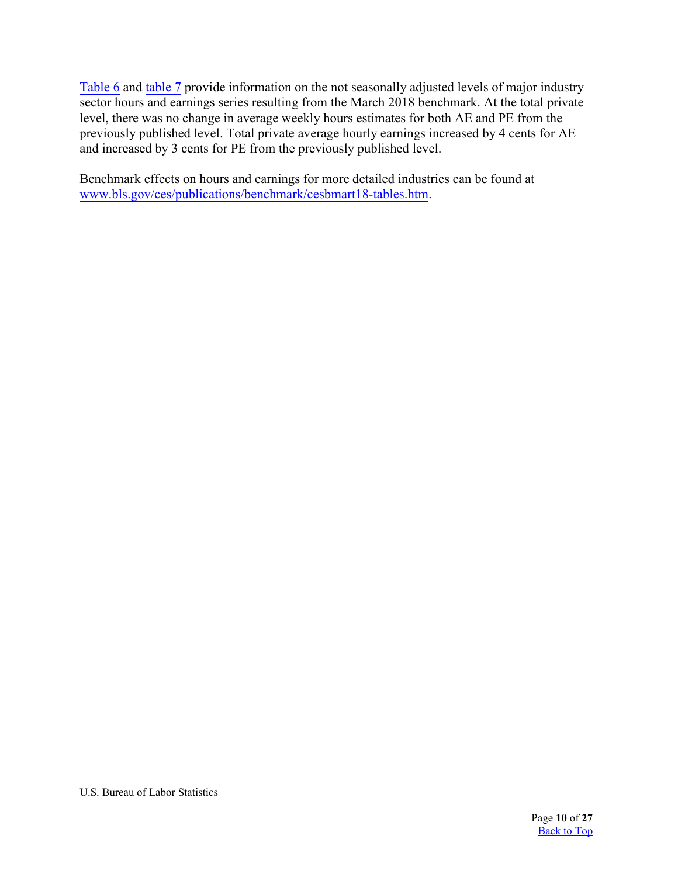[Table 6](#page-10-0) and [table 7](#page-11-0) provide information on the not seasonally adjusted levels of major industry sector hours and earnings series resulting from the March 2018 benchmark. At the total private level, there was no change in average weekly hours estimates for both AE and PE from the previously published level. Total private average hourly earnings increased by 4 cents for AE and increased by 3 cents for PE from the previously published level.

Benchmark effects on hours and earnings for more detailed industries can be found at <www.bls.gov/ces/publications/benchmark/cesbmart18-tables.htm>.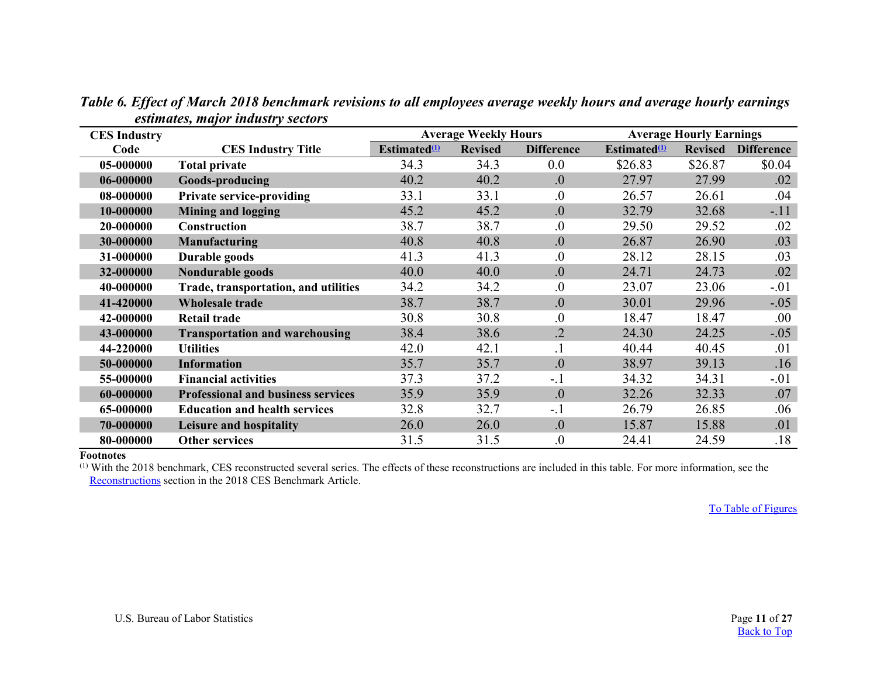<span id="page-10-0"></span>

| <b>CES Industry</b> | , ,                                       |                                                            | <b>Average Weekly Hours</b> |                   |                          | <b>Average Hourly Earnings</b> |                   |
|---------------------|-------------------------------------------|------------------------------------------------------------|-----------------------------|-------------------|--------------------------|--------------------------------|-------------------|
| Code                | <b>CES Industry Title</b>                 | Estimated $\mathbf{\mathbf{\mathbf{\mathbf{\mathbf{u}}}}}$ | <b>Revised</b>              | <b>Difference</b> | Estimated <sup>(1)</sup> | <b>Revised</b>                 | <b>Difference</b> |
| 05-000000           | <b>Total private</b>                      | 34.3                                                       | 34.3                        | 0.0               | \$26.83                  | \$26.87                        | \$0.04            |
| 06-000000           | Goods-producing                           | 40.2                                                       | 40.2                        | 0.                | 27.97                    | 27.99                          | .02               |
| 08-000000           | <b>Private service-providing</b>          | 33.1                                                       | 33.1                        | 0.                | 26.57                    | 26.61                          | .04               |
| 10-000000           | <b>Mining and logging</b>                 | 45.2                                                       | 45.2                        | 0.                | 32.79                    | 32.68                          | $-.11$            |
| 20-000000           | <b>Construction</b>                       | 38.7                                                       | 38.7                        | 0.                | 29.50                    | 29.52                          | .02               |
| 30-000000           | <b>Manufacturing</b>                      | 40.8                                                       | 40.8                        | 0.                | 26.87                    | 26.90                          | .03               |
| 31-000000           | Durable goods                             | 41.3                                                       | 41.3                        | $\overline{0}$ .  | 28.12                    | 28.15                          | .03               |
| 32-000000           | Nondurable goods                          | 40.0                                                       | 40.0                        | 0.                | 24.71                    | 24.73                          | .02               |
| 40-000000           | Trade, transportation, and utilities      | 34.2                                                       | 34.2                        | $\overline{0}$ .  | 23.07                    | 23.06                          | $-.01$            |
| 41-420000           | <b>Wholesale trade</b>                    | 38.7                                                       | 38.7                        | 0.                | 30.01                    | 29.96                          | $-.05$            |
| 42-000000           | <b>Retail trade</b>                       | 30.8                                                       | 30.8                        | 0.                | 18.47                    | 18.47                          | .00               |
| 43-000000           | <b>Transportation and warehousing</b>     | 38.4                                                       | 38.6                        | $\overline{2}$    | 24.30                    | 24.25                          | $-.05$            |
| 44-220000           | <b>Utilities</b>                          | 42.0                                                       | 42.1                        |                   | 40.44                    | 40.45                          | .01               |
| 50-000000           | <b>Information</b>                        | 35.7                                                       | 35.7                        | $\overline{0}$ .  | 38.97                    | 39.13                          | .16               |
| 55-000000           | <b>Financial activities</b>               | 37.3                                                       | 37.2                        | $-1$              | 34.32                    | 34.31                          | $-.01$            |
| 60-000000           | <b>Professional and business services</b> | 35.9                                                       | 35.9                        | 0.                | 32.26                    | 32.33                          | .07               |
| 65-000000           | <b>Education and health services</b>      | 32.8                                                       | 32.7                        | $-1$              | 26.79                    | 26.85                          | .06               |
| 70-000000           | Leisure and hospitality                   | 26.0                                                       | 26.0                        | 0.                | 15.87                    | 15.88                          | .01               |
| 80-000000           | <b>Other services</b>                     | 31.5                                                       | 31.5                        | $\overline{0}$    | 24.41                    | 24.59                          | .18               |

*Table 6. Effect of March 2018 benchmark revisions to all employees average weekly hours and average hourly earnings estimates, major industry sectors* 

#### **Footnotes**

<span id="page-10-1"></span>(1) With the 2018 benchmark, CES reconstructed several series. The effects of these reconstructions are included in this table. For more information, see the [Reconstructions](#page-14-2) section in the 2018 CES Benchmark Article.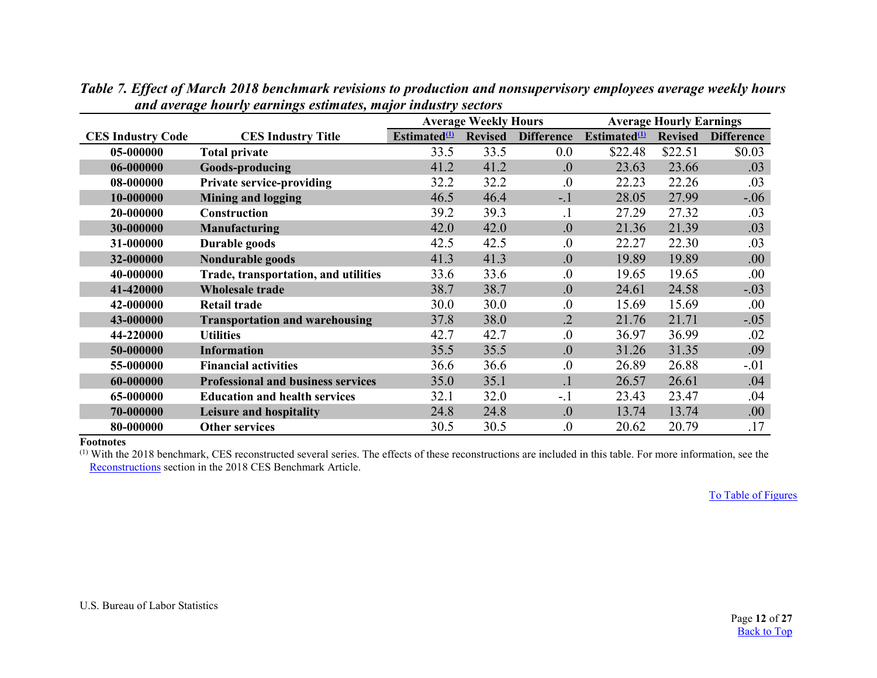|                          |                                           |                                 | <b>Average Weekly Hours</b> |                   |                          | <b>Average Hourly Earnings</b> |                   |
|--------------------------|-------------------------------------------|---------------------------------|-----------------------------|-------------------|--------------------------|--------------------------------|-------------------|
| <b>CES Industry Code</b> | <b>CES Industry Title</b>                 | <b>Estimated</b> <sup>(1)</sup> | <b>Revised</b>              | <b>Difference</b> | Estimated <sup>(1)</sup> | <b>Revised</b>                 | <b>Difference</b> |
| 05-000000                | <b>Total private</b>                      | 33.5                            | 33.5                        | 0.0               | \$22.48                  | \$22.51                        | \$0.03            |
| 06-000000                | Goods-producing                           | 41.2                            | 41.2                        | $\overline{0}$ .  | 23.63                    | 23.66                          | .03               |
| 08-000000                | <b>Private service-providing</b>          | 32.2                            | 32.2                        | $\overline{0}$ .  | 22.23                    | 22.26                          | .03               |
| 10-000000                | <b>Mining and logging</b>                 | 46.5                            | 46.4                        | $-.1$             | 28.05                    | 27.99                          | $-.06$            |
| 20-000000                | Construction                              | 39.2                            | 39.3                        | $\cdot$           | 27.29                    | 27.32                          | .03               |
| 30-000000                | <b>Manufacturing</b>                      | 42.0                            | 42.0                        | $\overline{0}$ .  | 21.36                    | 21.39                          | .03               |
| 31-000000                | Durable goods                             | 42.5                            | 42.5                        | $\overline{0}$ .  | 22.27                    | 22.30                          | .03               |
| 32-000000                | Nondurable goods                          | 41.3                            | 41.3                        | 0.                | 19.89                    | 19.89                          | .00.              |
| 40-000000                | Trade, transportation, and utilities      | 33.6                            | 33.6                        | $\overline{0}$ .  | 19.65                    | 19.65                          | .00               |
| 41-420000                | <b>Wholesale trade</b>                    | 38.7                            | 38.7                        | 0.                | 24.61                    | 24.58                          | $-.03$            |
| 42-000000                | <b>Retail trade</b>                       | 30.0                            | 30.0                        | $\overline{0}$ .  | 15.69                    | 15.69                          | .00               |
| 43-000000                | <b>Transportation and warehousing</b>     | 37.8                            | 38.0                        | $\cdot$ .2        | 21.76                    | 21.71                          | $-.05$            |
| 44-220000                | <b>Utilities</b>                          | 42.7                            | 42.7                        | $\overline{0}$ .  | 36.97                    | 36.99                          | .02               |
| 50-000000                | <b>Information</b>                        | 35.5                            | 35.5                        | $\overline{0}$ .  | 31.26                    | 31.35                          | .09               |
| 55-000000                | <b>Financial activities</b>               | 36.6                            | 36.6                        | $\overline{0}$ .  | 26.89                    | 26.88                          | $-.01$            |
| 60-000000                | <b>Professional and business services</b> | 35.0                            | 35.1                        | $\cdot$           | 26.57                    | 26.61                          | .04               |
| 65-000000                | <b>Education and health services</b>      | 32.1                            | 32.0                        | $-.1$             | 23.43                    | 23.47                          | .04               |
| 70-000000                | Leisure and hospitality                   | 24.8                            | 24.8                        | $\overline{0}$ .  | 13.74                    | 13.74                          | .00.              |
| 80-000000                | <b>Other services</b>                     | 30.5                            | 30.5                        | $\overline{0}$ .  | 20.62                    | 20.79                          | .17               |

*Table 7. Effect of March 2018 benchmark revisions to production and nonsupervisory employees average weekly hours and average hourly earnings estimates, major industry sectors* 

<span id="page-11-0"></span>**Footnotes**

<span id="page-11-1"></span>(1) With the 2018 benchmark, CES reconstructed several series. The effects of these reconstructions are included in this table. For more information, see the [Reconstructions](#page-14-2) section in the 2018 CES Benchmark Article.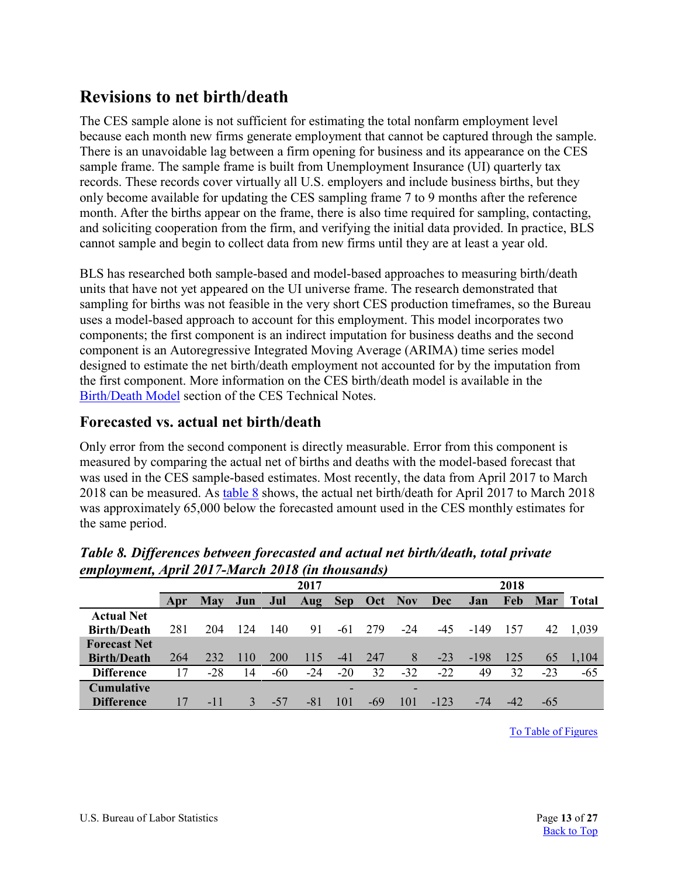# <span id="page-12-0"></span>**Revisions to net birth/death**

The CES sample alone is not sufficient for estimating the total nonfarm employment level because each month new firms generate employment that cannot be captured through the sample. There is an unavoidable lag between a firm opening for business and its appearance on the CES sample frame. The sample frame is built from Unemployment Insurance (UI) quarterly tax records. These records cover virtually all U.S. employers and include business births, but they only become available for updating the CES sampling frame 7 to 9 months after the reference month. After the births appear on the frame, there is also time required for sampling, contacting, and soliciting cooperation from the firm, and verifying the initial data provided. In practice, BLS cannot sample and begin to collect data from new firms until they are at least a year old.

BLS has researched both sample-based and model-based approaches to measuring birth/death units that have not yet appeared on the UI universe frame. The research demonstrated that sampling for births was not feasible in the very short CES production timeframes, so the Bureau uses a model-based approach to account for this employment. This model incorporates two components; the first component is an indirect imputation for business deaths and the second component is an Autoregressive Integrated Moving Average (ARIMA) time series model designed to estimate the net birth/death employment not accounted for by the imputation from the first component. More information on the CES birth/death model is available in the [Birth/Death Model](https://www.bls.gov/web/empsit/cestn.htm#section6c) section of the CES Technical Notes.

# <span id="page-12-1"></span>**Forecasted vs. actual net birth/death**

Only error from the second component is directly measurable. Error from this component is measured by comparing the actual net of births and deaths with the model-based forecast that was used in the CES sample-based estimates. Most recently, the data from April 2017 to March 2018 can be measured. As [table 8](#page-12-2) shows, the actual net birth/death for April 2017 to March 2018 was approximately 65,000 below the forecasted amount used in the CES monthly estimates for the same period.

|                     |     | 2017  |     |       |       |       |             |       | 2018       |        |     |       |              |
|---------------------|-----|-------|-----|-------|-------|-------|-------------|-------|------------|--------|-----|-------|--------------|
|                     | Apr | May   | Jun | Jul   | Aug   |       | Sep Oct Nov |       | <b>Dec</b> | Jan    | Feb | Mar   | <b>Total</b> |
| <b>Actual Net</b>   |     |       |     |       |       |       |             |       |            |        |     |       |              |
| <b>Birth/Death</b>  | 281 | 204   | 124 | 140   | 91    | -61   | 279         | $-24$ | $-45$      | -149   | 157 | 42    | 1.039        |
| <b>Forecast Net</b> |     |       |     |       |       |       |             |       |            |        |     |       |              |
| <b>Birth/Death</b>  | 264 | 232   | 110 | 200   | 115   | $-41$ | 247         | 8     | $-23$      | $-198$ | 125 | 65    | 1,104        |
| <b>Difference</b>   | 17  | $-28$ | 14  | $-60$ | $-24$ | $-20$ | 32          | $-32$ | $-22$      | 49     | 32  | $-23$ | $-65$        |
| <b>Cumulative</b>   |     |       |     |       |       | -     |             |       |            |        |     |       |              |
| <b>Difference</b>   | 17  | $-11$ | 3   | $-57$ | -81   | 101   | -69         | 101   | $-123$     | $-74$  | -42 | -65   |              |

<span id="page-12-2"></span>*Table 8. Differences between forecasted and actual net birth/death, total private employment, April 2017-March 2018 (in thousands)*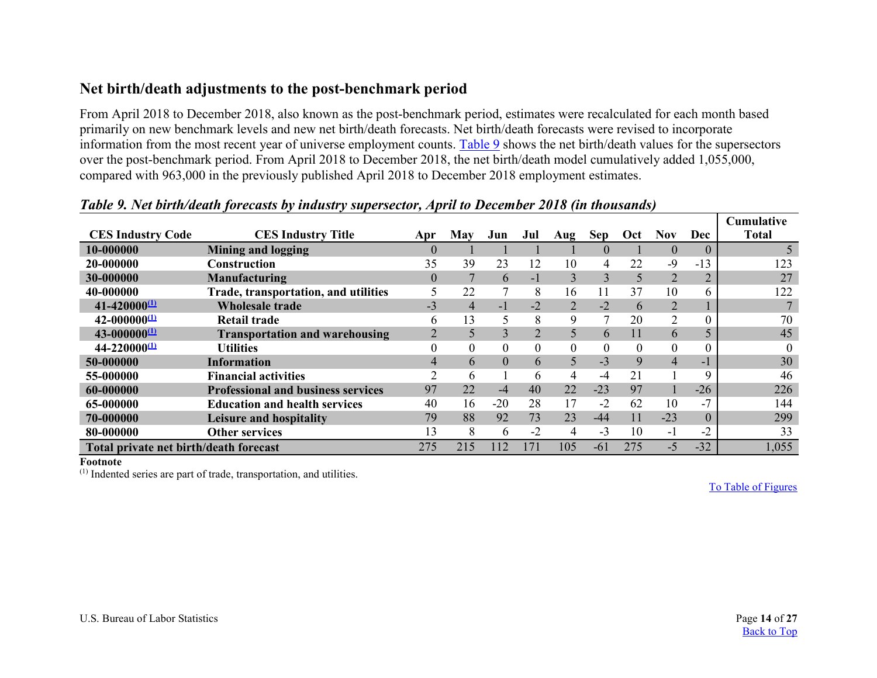## **Net birth/death adjustments to the post-benchmark period**

From April 2018 to December 2018, also known as the post-benchmark period, estimates were recalculated for each month based primarily on new benchmark levels and new net birth/death forecasts. Net birth/death forecasts were revised to incorporate information from the most recent year of universe employment counts. [Table 9](#page-13-1) shows the net birth/death values for the supersectors over the post-benchmark period. From April 2018 to December 2018, the net birth/death model cumulatively added 1,055,000, compared with 963,000 in the previously published April 2018 to December 2018 employment estimates.

<span id="page-13-0"></span>

|                                        |                                           |          |                |                |                |          |                |          |                |                | <b>Cumulative</b> |
|----------------------------------------|-------------------------------------------|----------|----------------|----------------|----------------|----------|----------------|----------|----------------|----------------|-------------------|
| <b>CES Industry Code</b>               | <b>CES Industry Title</b>                 | Apr      | May            | Jun            | Jul            | Aug      | Sep            | Oct      | Nov.           | <b>Dec</b>     | <b>Total</b>      |
| 10-000000                              | <b>Mining and logging</b>                 | $\theta$ |                |                |                |          | $\Omega$       |          | $\theta$       | $\theta$       |                   |
| 20-000000                              | <b>Construction</b>                       | 35       | 39             | 23             | 12             | 10       | 4              | 22       | $-9$           | $-13$          | 123               |
| 30-000000                              | <b>Manufacturing</b>                      | 0        |                | 6              | $-1$           | 3        | $\overline{3}$ | 5        | 2              | $\overline{2}$ | 27                |
| 40-000000                              | Trade, transportation, and utilities      |          | 22             | 7              | 8              | 16       | 11             | 37       | 10             |                | 122               |
| $41 - 42000000$                        | <b>Wholesale trade</b>                    | $-3$     | $\overline{4}$ | $-1$           | $-2$           |          | $-2$           | 6        | $\overline{2}$ |                |                   |
| $42 - 00000000000$                     | Retail trade                              | 6        | 13             | 5              | 8              | 9        |                | 20       | $\overline{2}$ | $\Omega$       | 70                |
| $43 - 00000000000$                     | <b>Transportation and warehousing</b>     |          | 5              | $\overline{3}$ | $\overline{2}$ |          | 6              |          | 6              |                | 45                |
| $44 - 22000000$                        | <b>Utilities</b>                          |          | $\Omega$       | $\overline{0}$ | $\Omega$       | $\Omega$ | $\theta$       | $\theta$ | $\theta$       |                | $\Omega$          |
| 50-000000                              | <b>Information</b>                        |          | 6              | $\overline{0}$ | 6              |          | $-3$           | 9        | $\overline{4}$ | - 11           | 30                |
| 55-000000                              | <b>Financial activities</b>               |          | 6              |                | 6              | 4        | $-4$           | 21       |                |                | 46                |
| 60-000000                              | <b>Professional and business services</b> | 97       | 22             | $-4$           | 40             | 22       | $-23$          | 97       |                | $-26$          | 226               |
| 65-000000                              | <b>Education and health services</b>      | 40       | 16             | $-20$          | 28             | 17       | $-2$           | 62       | 10             | $-7$           | 144               |
| 70-000000                              | Leisure and hospitality                   | 79       | 88             | 92             | 73             | 23       | $-44$          | 11       | $-23$          | $\Omega$       | 299               |
| 80-000000                              | <b>Other services</b>                     | 13       | 8              | 6              | $-2$           | 4        | $-3$           | 10       | $-1$           | $-2$           | 33                |
| Total private net birth/death forecast |                                           | 275      | 215            | 112            | 171            | 105      | $-61$          | 275      | $-5$           | $-32$          | 1,055             |

### <span id="page-13-1"></span>*Table 9. Net birth/death forecasts by industry supersector, April to December 2018 (in thousands)*

<span id="page-13-3"></span>**Footnote**

<span id="page-13-2"></span>(1) Indented series are part of trade, transportation, and utilities.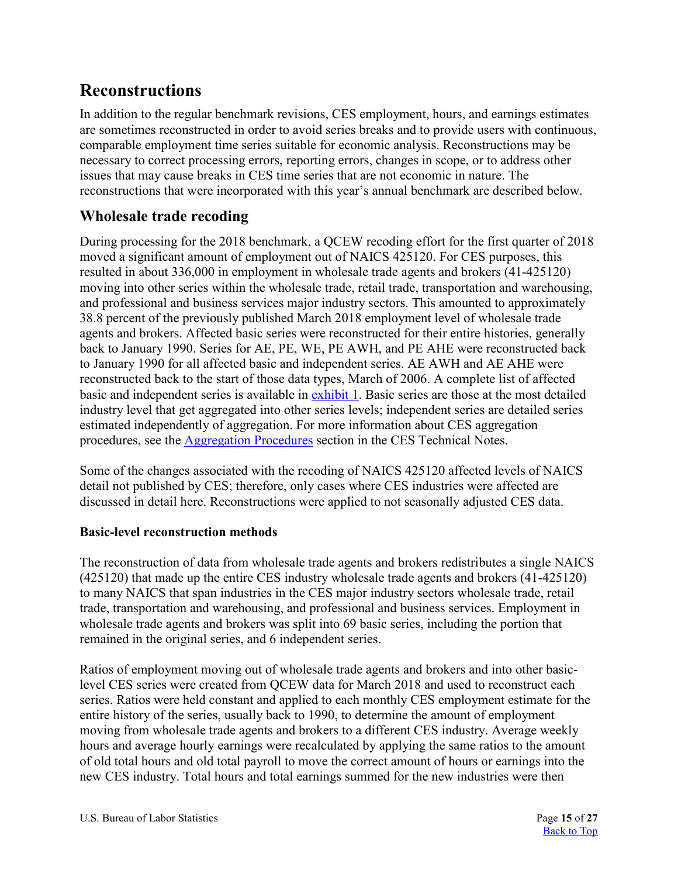# <span id="page-14-2"></span><span id="page-14-0"></span>**Reconstructions**

In addition to the regular benchmark revisions, CES employment, hours, and earnings estimates are sometimes reconstructed in order to avoid series breaks and to provide users with continuous, comparable employment time series suitable for economic analysis. Reconstructions may be necessary to correct processing errors, reporting errors, changes in scope, or to address other issues that may cause breaks in CES time series that are not economic in nature. The reconstructions that were incorporated with this year's annual benchmark are described below.

# <span id="page-14-1"></span>**Wholesale trade recoding**

During processing for the 2018 benchmark, a QCEW recoding effort for the first quarter of 2018 moved a significant amount of employment out of NAICS 425120. For CES purposes, this resulted in about 336,000 in employment in wholesale trade agents and brokers (41-425120) moving into other series within the wholesale trade, retail trade, transportation and warehousing, and professional and business services major industry sectors. This amounted to approximately 38.8 percent of the previously published March 2018 employment level of wholesale trade agents and brokers. Affected basic series were reconstructed for their entire histories, generally back to January 1990. Series for AE, PE, WE, PE AWH, and PE AHE were reconstructed back to January 1990 for all affected basic and independent series. AE AWH and AE AHE were reconstructed back to the start of those data types, March of 2006. A complete list of affected basic and independent series is available in [exhibit 1.](#page-15-0) Basic series are those at the most detailed industry level that get aggregated into other series levels; independent series are detailed series estimated independently of aggregation. For more information about CES aggregation procedures, see the [Aggregation Procedures](http://www.bls.gov/web/empsit/cestn.htm#section6d) section in the CES Technical Notes.

Some of the changes associated with the recoding of NAICS 425120 affected levels of NAICS detail not published by CES; therefore, only cases where CES industries were affected are discussed in detail here. Reconstructions were applied to not seasonally adjusted CES data.

### **Basic-level reconstruction methods**

The reconstruction of data from wholesale trade agents and brokers redistributes a single NAICS (425120) that made up the entire CES industry wholesale trade agents and brokers (41-425120) to many NAICS that span industries in the CES major industry sectors wholesale trade, retail trade, transportation and warehousing, and professional and business services. Employment in wholesale trade agents and brokers was split into 69 basic series, including the portion that remained in the original series, and 6 independent series.

Ratios of employment moving out of wholesale trade agents and brokers and into other basiclevel CES series were created from QCEW data for March 2018 and used to reconstruct each series. Ratios were held constant and applied to each monthly CES employment estimate for the entire history of the series, usually back to 1990, to determine the amount of employment moving from wholesale trade agents and brokers to a different CES industry. Average weekly hours and average hourly earnings were recalculated by applying the same ratios to the amount of old total hours and old total payroll to move the correct amount of hours or earnings into the new CES industry. Total hours and total earnings summed for the new industries were then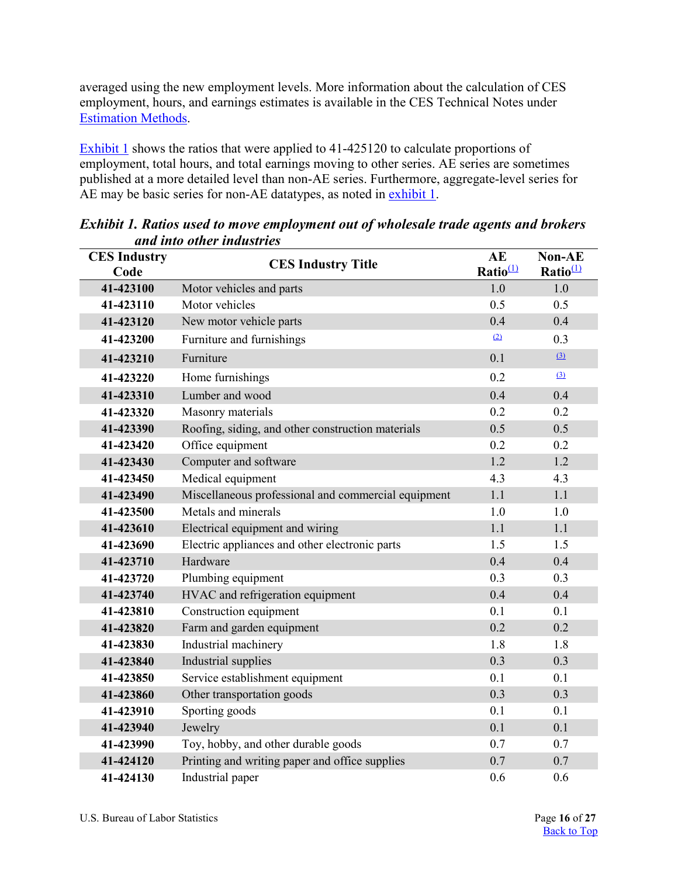averaged using the new employment levels. More information about the calculation of CES employment, hours, and earnings estimates is available in the CES Technical Notes under [Estimation Methods.](https://www.bls.gov/web/empsit/cestn.htm#section6)

[Exhibit 1](#page-15-0) shows the ratios that were applied to 41-425120 to calculate proportions of employment, total hours, and total earnings moving to other series. AE series are sometimes published at a more detailed level than non-AE series. Furthermore, aggregate-level series for AE may be basic series for non-AE datatypes, as noted in [exhibit 1.](#page-15-0)

| <b>CES Industry</b><br>Code | <b>CES Industry Title</b>                           | AE<br>Ratio $\mathbf{\Omega}$ | <b>Non-AE</b><br>Ratio $\frac{1}{2}$ |
|-----------------------------|-----------------------------------------------------|-------------------------------|--------------------------------------|
| 41-423100                   | Motor vehicles and parts                            | 1.0                           | 1.0                                  |
| 41-423110                   | Motor vehicles                                      | 0.5                           | 0.5                                  |
| 41-423120                   | New motor vehicle parts                             | 0.4                           | 0.4                                  |
| 41-423200                   | Furniture and furnishings                           | (2)                           | 0.3                                  |
| 41-423210                   | Furniture                                           | 0.1                           | (3)                                  |
| 41-423220                   | Home furnishings                                    | 0.2                           | (3)                                  |
| 41-423310                   | Lumber and wood                                     | 0.4                           | 0.4                                  |
| 41-423320                   | Masonry materials                                   | 0.2                           | 0.2                                  |
| 41-423390                   | Roofing, siding, and other construction materials   | 0.5                           | 0.5                                  |
| 41-423420                   | Office equipment                                    | 0.2                           | 0.2                                  |
| 41-423430                   | Computer and software                               | 1.2                           | 1.2                                  |
| 41-423450                   | Medical equipment                                   | 4.3                           | 4.3                                  |
| 41-423490                   | Miscellaneous professional and commercial equipment | 1.1                           | 1.1                                  |
| 41-423500                   | Metals and minerals                                 | 1.0                           | 1.0                                  |
| 41-423610                   | Electrical equipment and wiring                     | 1.1                           | 1.1                                  |
| 41-423690                   | Electric appliances and other electronic parts      | 1.5                           | 1.5                                  |
| 41-423710                   | Hardware                                            | 0.4                           | 0.4                                  |
| 41-423720                   | Plumbing equipment                                  | 0.3                           | 0.3                                  |
| 41-423740                   | HVAC and refrigeration equipment                    | 0.4                           | 0.4                                  |
| 41-423810                   | Construction equipment                              | 0.1                           | 0.1                                  |
| 41-423820                   | Farm and garden equipment                           | 0.2                           | 0.2                                  |
| 41-423830                   | Industrial machinery                                | 1.8                           | 1.8                                  |
| 41-423840                   | Industrial supplies                                 | 0.3                           | 0.3                                  |
| 41-423850                   | Service establishment equipment                     | 0.1                           | 0.1                                  |
| 41-423860                   | Other transportation goods                          | 0.3                           | 0.3                                  |
| 41-423910                   | Sporting goods                                      | 0.1                           | 0.1                                  |
| 41-423940                   | Jewelry                                             | 0.1                           | 0.1                                  |
| 41-423990                   | Toy, hobby, and other durable goods                 | 0.7                           | 0.7                                  |
| 41-424120                   | Printing and writing paper and office supplies      | 0.7                           | 0.7                                  |
| 41-424130                   | Industrial paper                                    | 0.6                           | 0.6                                  |

<span id="page-15-0"></span>*Exhibit 1. Ratios used to move employment out of wholesale trade agents and brokers and into other industries*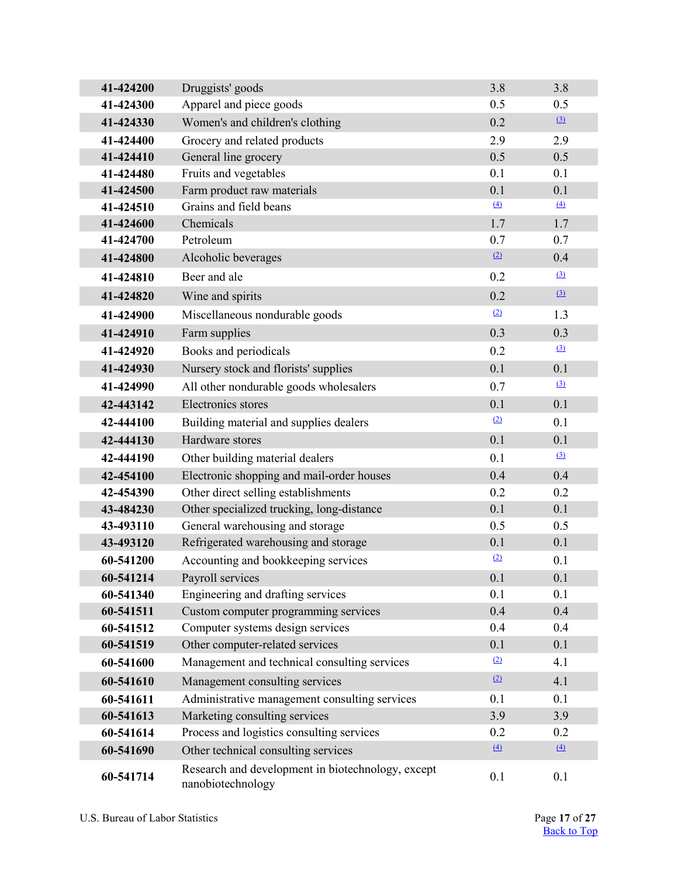| 41-424200 | Druggists' goods                                                       | 3.8 | 3.8             |
|-----------|------------------------------------------------------------------------|-----|-----------------|
| 41-424300 | Apparel and piece goods                                                | 0.5 | 0.5             |
| 41-424330 | Women's and children's clothing                                        | 0.2 | $\Omega$        |
| 41-424400 | Grocery and related products                                           | 2.9 | 2.9             |
| 41-424410 | General line grocery                                                   | 0.5 | 0.5             |
| 41-424480 | Fruits and vegetables                                                  | 0.1 | 0.1             |
| 41-424500 | Farm product raw materials                                             | 0.1 | 0.1             |
| 41-424510 | Grains and field beans                                                 | (4) | $\triangle$     |
| 41-424600 | Chemicals                                                              | 1.7 | 1.7             |
| 41-424700 | Petroleum                                                              | 0.7 | 0.7             |
| 41-424800 | Alcoholic beverages                                                    | (2) | 0.4             |
| 41-424810 | Beer and ale                                                           | 0.2 | $\Omega$        |
| 41-424820 | Wine and spirits                                                       | 0.2 | $\Omega$        |
| 41-424900 | Miscellaneous nondurable goods                                         | (2) | 1.3             |
| 41-424910 | Farm supplies                                                          | 0.3 | 0.3             |
| 41-424920 | Books and periodicals                                                  | 0.2 | (3)             |
| 41-424930 | Nursery stock and florists' supplies                                   | 0.1 | 0.1             |
| 41-424990 | All other nondurable goods wholesalers                                 | 0.7 | (3)             |
| 42-443142 | Electronics stores                                                     | 0.1 | 0.1             |
| 42-444100 | Building material and supplies dealers                                 | (2) | 0.1             |
| 42-444130 | Hardware stores                                                        | 0.1 | 0.1             |
| 42-444190 | Other building material dealers                                        | 0.1 | (3)             |
| 42-454100 | Electronic shopping and mail-order houses                              | 0.4 | 0.4             |
| 42-454390 | Other direct selling establishments                                    | 0.2 | 0.2             |
| 43-484230 | Other specialized trucking, long-distance                              | 0.1 | 0.1             |
| 43-493110 | General warehousing and storage                                        | 0.5 | 0.5             |
| 43-493120 | Refrigerated warehousing and storage                                   | 0.1 | 0.1             |
| 60-541200 | Accounting and bookkeeping services                                    | (2) | 0.1             |
| 60-541214 | Payroll services                                                       | 0.1 | 0.1             |
| 60-541340 | Engineering and drafting services                                      | 0.1 | 0.1             |
| 60-541511 | Custom computer programming services                                   | 0.4 | 0.4             |
| 60-541512 | Computer systems design services                                       | 0.4 | 0.4             |
| 60-541519 | Other computer-related services                                        | 0.1 | 0.1             |
| 60-541600 | Management and technical consulting services                           | (2) | 4.1             |
| 60-541610 | Management consulting services                                         | (2) | 4.1             |
| 60-541611 | Administrative management consulting services                          | 0.1 | 0.1             |
| 60-541613 | Marketing consulting services                                          | 3.9 | 3.9             |
| 60-541614 | Process and logistics consulting services                              | 0.2 | 0.2             |
| 60-541690 | Other technical consulting services                                    | (4) | $\underline{4}$ |
| 60-541714 | Research and development in biotechnology, except<br>nanobiotechnology | 0.1 | 0.1             |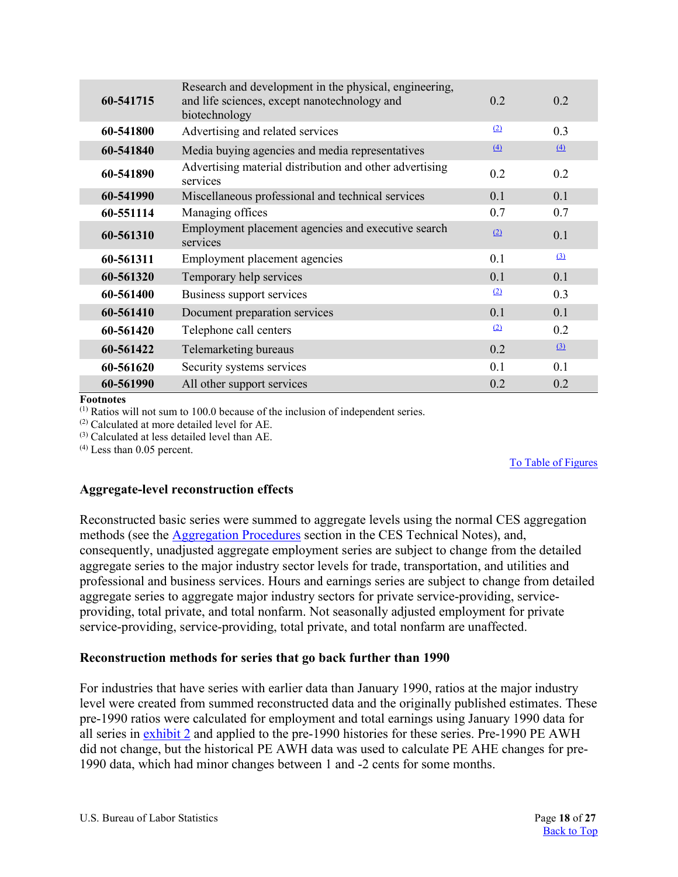| 60-541715 | Research and development in the physical, engineering,<br>and life sciences, except nanotechnology and<br>biotechnology | 0.2 | 0.2 |
|-----------|-------------------------------------------------------------------------------------------------------------------------|-----|-----|
| 60-541800 | Advertising and related services                                                                                        | (2) | 0.3 |
| 60-541840 | Media buying agencies and media representatives                                                                         | (4) | (4) |
| 60-541890 | Advertising material distribution and other advertising<br>services                                                     | 0.2 | 0.2 |
| 60-541990 | Miscellaneous professional and technical services                                                                       | 0.1 | 0.1 |
| 60-551114 | Managing offices                                                                                                        | 0.7 | 0.7 |
| 60-561310 | Employment placement agencies and executive search<br>services                                                          | (2) | 0.1 |
| 60-561311 | Employment placement agencies                                                                                           | 0.1 | (3) |
| 60-561320 | Temporary help services                                                                                                 | 0.1 | 0.1 |
| 60-561400 | Business support services                                                                                               | (2) | 0.3 |
| 60-561410 | Document preparation services                                                                                           | 0.1 | 0.1 |
| 60-561420 | Telephone call centers                                                                                                  | (2) | 0.2 |
| 60-561422 | Telemarketing bureaus                                                                                                   | 0.2 | (3) |
| 60-561620 | Security systems services                                                                                               | 0.1 | 0.1 |
| 60-561990 | All other support services                                                                                              | 0.2 | 0.2 |

<span id="page-17-0"></span>**Footnotes**

(1) Ratios will not sum to 100.0 because of the inclusion of independent series.

<span id="page-17-1"></span>(2) Calculated at more detailed level for AE.

<span id="page-17-2"></span>(3) Calculated at less detailed level than AE.

<span id="page-17-3"></span>(4) Less than 0.05 percent.

#### [To Table of Figures](#page-26-0)

#### **Aggregate-level reconstruction effects**

Reconstructed basic series were summed to aggregate levels using the normal CES aggregation methods (see the [Aggregation Procedures](https://www.bls.gov/web/empsit/cestn.htm#section6d) section in the CES Technical Notes), and, consequently, unadjusted aggregate employment series are subject to change from the detailed aggregate series to the major industry sector levels for trade, transportation, and utilities and professional and business services. Hours and earnings series are subject to change from detailed aggregate series to aggregate major industry sectors for private service-providing, serviceproviding, total private, and total nonfarm. Not seasonally adjusted employment for private service-providing, service-providing, total private, and total nonfarm are unaffected.

#### **Reconstruction methods for series that go back further than 1990**

For industries that have series with earlier data than January 1990, ratios at the major industry level were created from summed reconstructed data and the originally published estimates. These pre-1990 ratios were calculated for employment and total earnings using January 1990 data for all series in [exhibit 2](#page-18-1) and applied to the pre-1990 histories for these series. Pre-1990 PE AWH did not change, but the historical PE AWH data was used to calculate PE AHE changes for pre-1990 data, which had minor changes between 1 and -2 cents for some months.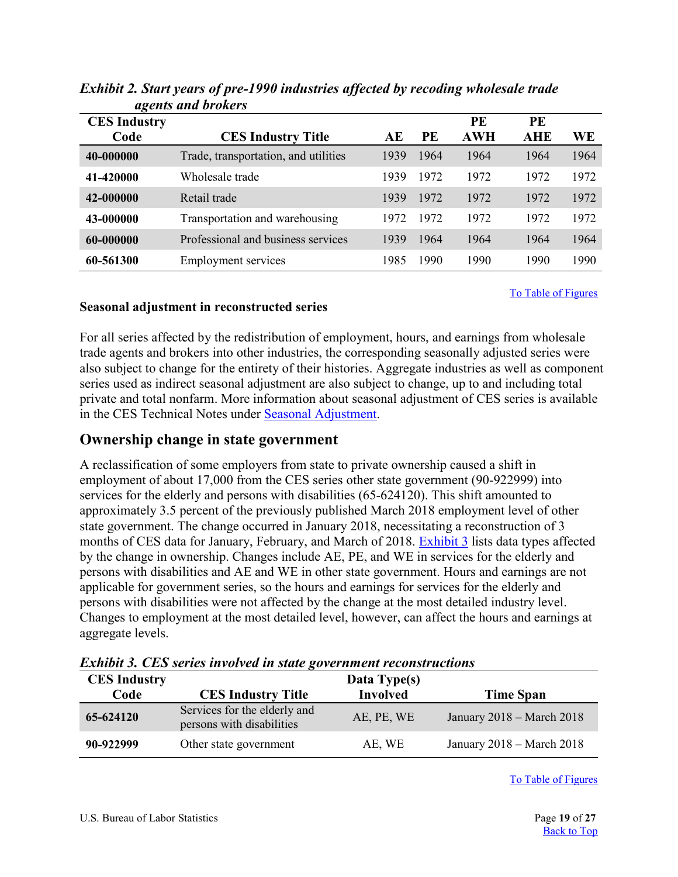|                     | ugenis unu vi vici s                 |      |      |            |            |      |
|---------------------|--------------------------------------|------|------|------------|------------|------|
| <b>CES Industry</b> |                                      |      |      | PE         | PE         |      |
| Code                | <b>CES Industry Title</b>            | АE   | PE   | <b>AWH</b> | <b>AHE</b> | WE   |
| 40-000000           | Trade, transportation, and utilities | 1939 | 1964 | 1964       | 1964       | 1964 |
| 41-420000           | Wholesale trade                      | 1939 | 1972 | 1972       | 1972       | 1972 |
| 42-000000           | Retail trade                         | 1939 | 1972 | 1972       | 1972       | 1972 |
| 43-000000           | Transportation and warehousing       | 1972 | 1972 | 1972       | 1972       | 1972 |
| 60-000000           | Professional and business services   | 1939 | 1964 | 1964       | 1964       | 1964 |
| 60-561300           | <b>Employment services</b>           | 1985 | 1990 | 1990       | 1990       | 1990 |

<span id="page-18-1"></span>*Exhibit 2. Start years of pre-1990 industries affected by recoding wholesale trade agents and brokers* 

[To Table of Figures](#page-26-0)

#### **Seasonal adjustment in reconstructed series**

For all series affected by the redistribution of employment, hours, and earnings from wholesale trade agents and brokers into other industries, the corresponding seasonally adjusted series were also subject to change for the entirety of their histories. Aggregate industries as well as component series used as indirect seasonal adjustment are also subject to change, up to and including total private and total nonfarm. More information about seasonal adjustment of CES series is available in the CES Technical Notes under [Seasonal Adjustment.](https://www.bls.gov/web/empsit/cestn.htm#section6e)

### <span id="page-18-0"></span>**Ownership change in state government**

A reclassification of some employers from state to private ownership caused a shift in employment of about 17,000 from the CES series other state government (90-922999) into services for the elderly and persons with disabilities (65-624120). This shift amounted to approximately 3.5 percent of the previously published March 2018 employment level of other state government. The change occurred in January 2018, necessitating a reconstruction of 3 months of CES data for January, February, and March of 2018. [Exhibit 3](#page-18-2) lists data types affected by the change in ownership. Changes include AE, PE, and WE in services for the elderly and persons with disabilities and AE and WE in other state government. Hours and earnings are not applicable for government series, so the hours and earnings for services for the elderly and persons with disabilities were not affected by the change at the most detailed industry level. Changes to employment at the most detailed level, however, can affect the hours and earnings at aggregate levels.

| <b>CES Industry</b> |                                                           | Data Type(s)    |                               |
|---------------------|-----------------------------------------------------------|-----------------|-------------------------------|
| Code                | <b>CES Industry Title</b>                                 | <b>Involved</b> | Time Span                     |
| 65-624120           | Services for the elderly and<br>persons with disabilities | AE, PE, WE      | January 2018 – March 2018     |
| 90-922999           | Other state government                                    | AE, WE          | January $2018$ – March $2018$ |

<span id="page-18-2"></span>*Exhibit 3. CES series involved in state government reconstructions*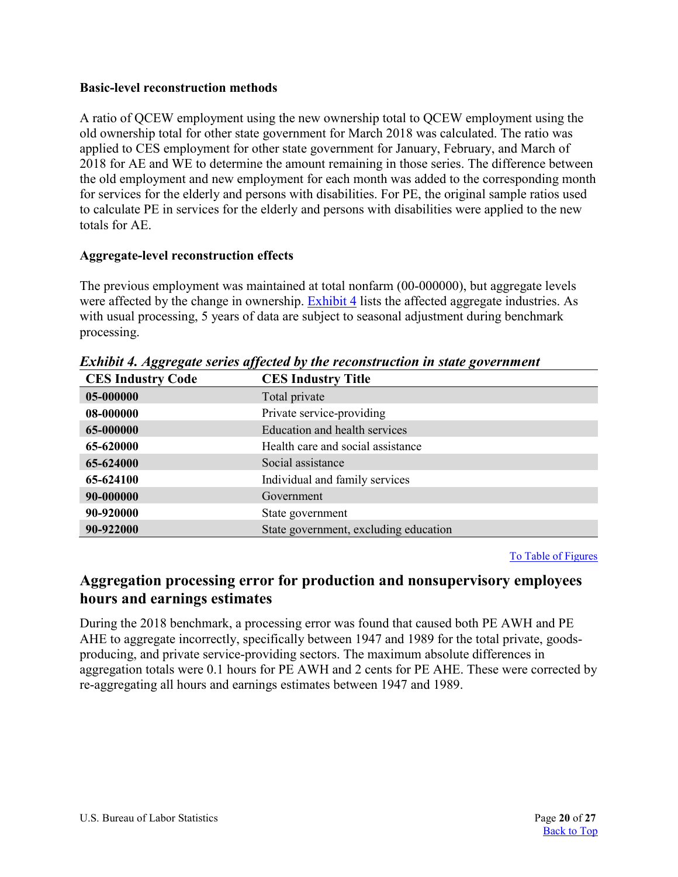#### **Basic-level reconstruction methods**

A ratio of QCEW employment using the new ownership total to QCEW employment using the old ownership total for other state government for March 2018 was calculated. The ratio was applied to CES employment for other state government for January, February, and March of 2018 for AE and WE to determine the amount remaining in those series. The difference between the old employment and new employment for each month was added to the corresponding month for services for the elderly and persons with disabilities. For PE, the original sample ratios used to calculate PE in services for the elderly and persons with disabilities were applied to the new totals for AE.

### **Aggregate-level reconstruction effects**

The previous employment was maintained at total nonfarm (00-000000), but aggregate levels were affected by the change in ownership. [Exhibit 4](#page-19-1) lists the affected aggregate industries. As with usual processing, 5 years of data are subject to seasonal adjustment during benchmark processing.

| <b>CES Industry Code</b> | <b>CES Industry Title</b>             |
|--------------------------|---------------------------------------|
| 05-000000                | Total private                         |
| 08-000000                | Private service-providing             |
| 65-000000                | <b>Education and health services</b>  |
| 65-620000                | Health care and social assistance     |
| 65-624000                | Social assistance                     |
| 65-624100                | Individual and family services        |
| 90-000000                | Government                            |
| 90-920000                | State government                      |
| 90-922000                | State government, excluding education |

<span id="page-19-1"></span>*Exhibit 4. Aggregate series affected by the reconstruction in state government* 

[To Table of Figures](#page-26-0)

# <span id="page-19-0"></span>**Aggregation processing error for production and nonsupervisory employees hours and earnings estimates**

During the 2018 benchmark, a processing error was found that caused both PE AWH and PE AHE to aggregate incorrectly, specifically between 1947 and 1989 for the total private, goodsproducing, and private service-providing sectors. The maximum absolute differences in aggregation totals were 0.1 hours for PE AWH and 2 cents for PE AHE. These were corrected by re-aggregating all hours and earnings estimates between 1947 and 1989.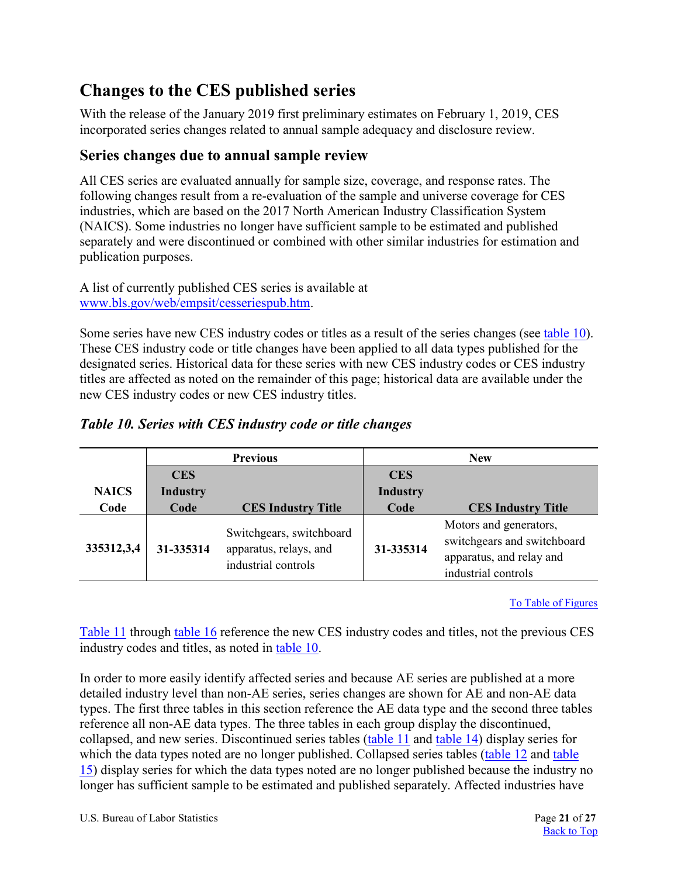# <span id="page-20-0"></span>**Changes to the CES published series**

With the release of the January 2019 first preliminary estimates on February 1, 2019, CES incorporated series changes related to annual sample adequacy and disclosure review.

# <span id="page-20-1"></span>**Series changes due to annual sample review**

All CES series are evaluated annually for sample size, coverage, and response rates. The following changes result from a re-evaluation of the sample and universe coverage for CES industries, which are based on the 2017 North American Industry Classification System (NAICS). Some industries no longer have sufficient sample to be estimated and published separately and were discontinued or combined with other similar industries for estimation and publication purposes.

A list of currently published CES series is available at [www.bls.gov/web/empsit/cesseriespub.htm.](https://www.bls.gov/web/empsit/cesseriespub.htm)

Some series have new CES industry codes or titles as a result of the series changes (se[e table 10\)](#page-20-2). These CES industry code or title changes have been applied to all data types published for the designated series. Historical data for these series with new CES industry codes or CES industry titles are affected as noted on the remainder of this page; historical data are available under the new CES industry codes or new CES industry titles.

|              |                 | <b>Previous</b>                                                           | <b>New</b>      |                                                                                                          |  |
|--------------|-----------------|---------------------------------------------------------------------------|-----------------|----------------------------------------------------------------------------------------------------------|--|
|              | <b>CES</b>      |                                                                           | <b>CES</b>      |                                                                                                          |  |
| <b>NAICS</b> | <b>Industry</b> |                                                                           | <b>Industry</b> |                                                                                                          |  |
| Code         | Code            | <b>CES Industry Title</b>                                                 | Code            | <b>CES Industry Title</b>                                                                                |  |
| 335312,3,4   | 31-335314       | Switchgears, switchboard<br>apparatus, relays, and<br>industrial controls | 31-335314       | Motors and generators,<br>switchgears and switchboard<br>apparatus, and relay and<br>industrial controls |  |

### <span id="page-20-2"></span>*Table 10. Series with CES industry code or title changes*

[To Table of Figures](#page-26-0)

[Table 11](#page-21-0) through [table 16](#page-24-0) reference the new CES industry codes and titles, not the previous CES industry codes and titles, as noted in [table 10.](#page-20-2)

In order to more easily identify affected series and because AE series are published at a more detailed industry level than non-AE series, series changes are shown for AE and non-AE data types. The first three tables in this section reference the AE data type and the second three tables reference all non-AE data types. The three tables in each group display the discontinued, collapsed, and new series. Discontinued series tables [\(table 11](#page-21-0) and [table 14\)](#page-22-0) display series for which the data types noted are no longer published. Collapsed series tables [\(table 12](#page-21-1) and [table](#page-24-1)  [15\)](#page-24-1) display series for which the data types noted are no longer published because the industry no longer has sufficient sample to be estimated and published separately. Affected industries have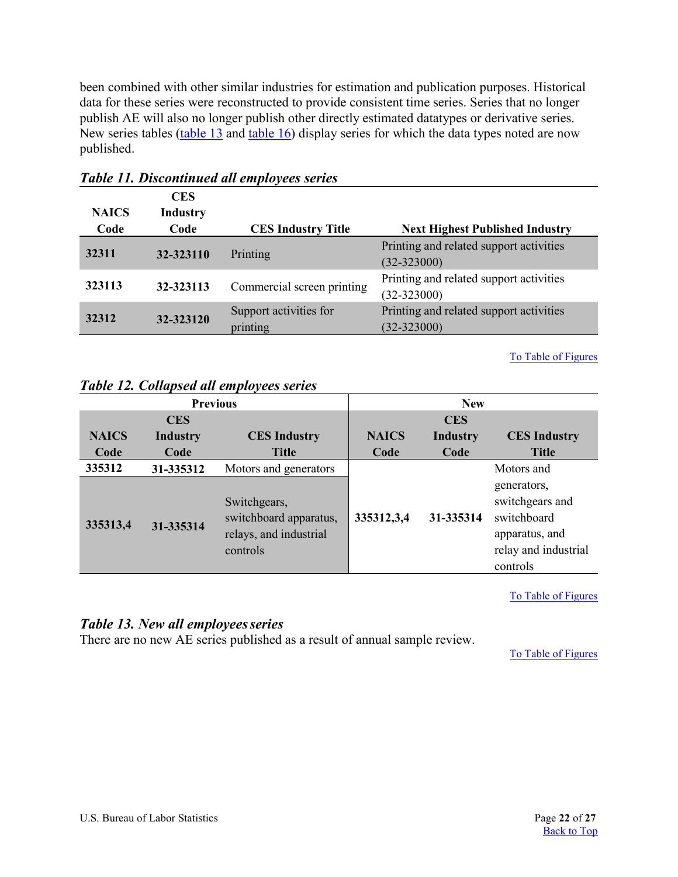been combined with other similar industries for estimation and publication purposes. Historical data for these series were reconstructed to provide consistent time series. Series that no longer publish AE will also no longer publish other directly estimated datatypes or derivative series. New series tables [\(table 13](#page-21-2) and [table 16\)](#page-24-0) display series for which the data types noted are now published.

| <b>NAICS</b><br>Code | <b>CES</b><br><b>Industry</b><br>Code | <b>CES Industry Title</b>          | <b>Next Highest Published Industry</b>                     |
|----------------------|---------------------------------------|------------------------------------|------------------------------------------------------------|
| 32311                | 32-323110                             | Printing                           | Printing and related support activities<br>$(32 - 323000)$ |
| 323113               | 32-323113                             | Commercial screen printing         | Printing and related support activities<br>$(32 - 323000)$ |
| 32312                | 32-323120                             | Support activities for<br>printing | Printing and related support activities<br>$(32 - 323000)$ |

### <span id="page-21-0"></span>*Table 11. Discontinued all employees series*

#### [To Table of Figures](#page-26-0)

### <span id="page-21-1"></span>*Table 12. Collapsed all employees series*

|              | <b>Previous</b> |                                                                              |              | <b>New</b>      |                                                                                                     |
|--------------|-----------------|------------------------------------------------------------------------------|--------------|-----------------|-----------------------------------------------------------------------------------------------------|
|              | <b>CES</b>      |                                                                              |              | <b>CES</b>      |                                                                                                     |
| <b>NAICS</b> | <b>Industry</b> | <b>CES Industry</b>                                                          | <b>NAICS</b> | <b>Industry</b> | <b>CES Industry</b>                                                                                 |
| Code         | Code            | <b>Title</b>                                                                 | Code         | Code            | <b>Title</b>                                                                                        |
| 335312       | 31-335312       | Motors and generators                                                        |              |                 | Motors and                                                                                          |
| 335313,4     | 31-335314       | Switchgears,<br>switchboard apparatus,<br>relays, and industrial<br>controls | 335312,3,4   | 31-335314       | generators,<br>switchgears and<br>switchboard<br>apparatus, and<br>relay and industrial<br>controls |

[To Table of Figures](#page-26-0)

#### <span id="page-21-2"></span>*Table 13. New all employeesseries*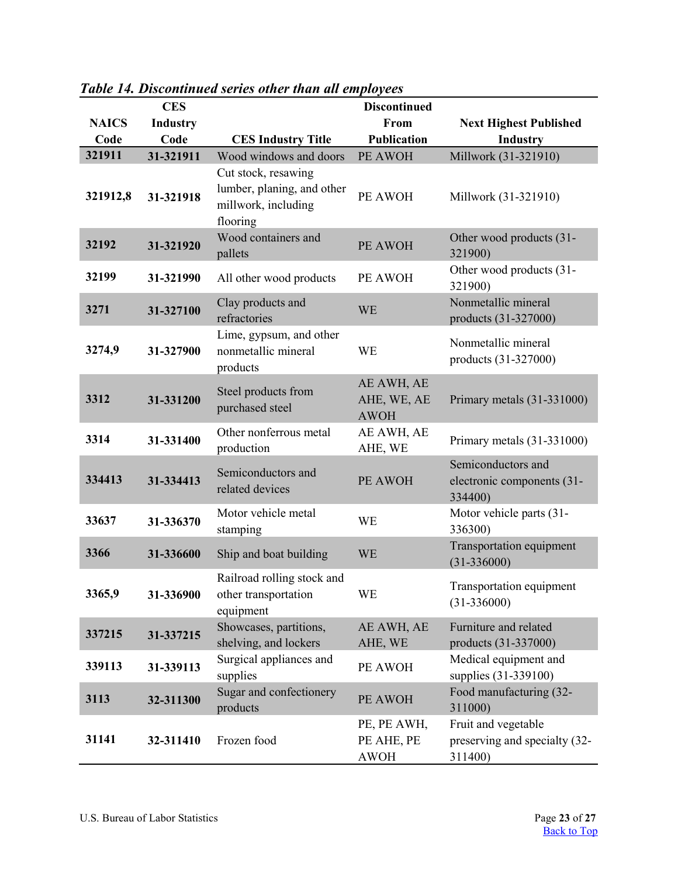|              | <b>CES</b>      |                                                                                      | <b>Discontinued</b>                      |                                                                 |
|--------------|-----------------|--------------------------------------------------------------------------------------|------------------------------------------|-----------------------------------------------------------------|
| <b>NAICS</b> | <b>Industry</b> |                                                                                      | From                                     | <b>Next Highest Published</b>                                   |
| Code         | Code            | <b>CES Industry Title</b>                                                            | <b>Publication</b>                       | <b>Industry</b>                                                 |
| 321911       | 31-321911       | Wood windows and doors                                                               | PE AWOH                                  | Millwork (31-321910)                                            |
| 321912,8     | 31-321918       | Cut stock, resawing<br>lumber, planing, and other<br>millwork, including<br>flooring | PE AWOH                                  | Millwork (31-321910)                                            |
| 32192        | 31-321920       | Wood containers and<br>pallets                                                       | PE AWOH                                  | Other wood products (31-<br>321900)                             |
| 32199        | 31-321990       | All other wood products                                                              | PE AWOH                                  | Other wood products (31-<br>321900)                             |
| 3271         | 31-327100       | Clay products and<br>refractories                                                    | <b>WE</b>                                | Nonmetallic mineral<br>products (31-327000)                     |
| 3274,9       | 31-327900       | Lime, gypsum, and other<br>nonmetallic mineral<br>products                           | WE                                       | Nonmetallic mineral<br>products (31-327000)                     |
| 3312         | 31-331200       | Steel products from<br>purchased steel                                               | AE AWH, AE<br>AHE, WE, AE<br><b>AWOH</b> | Primary metals (31-331000)                                      |
| 3314         | 31-331400       | Other nonferrous metal<br>production                                                 | AE AWH, AE<br>AHE, WE                    | Primary metals (31-331000)                                      |
| 334413       | 31-334413       | Semiconductors and<br>related devices                                                | PE AWOH                                  | Semiconductors and<br>electronic components (31-<br>334400)     |
| 33637        | 31-336370       | Motor vehicle metal<br>stamping                                                      | <b>WE</b>                                | Motor vehicle parts (31-<br>336300)                             |
| 3366         | 31-336600       | Ship and boat building                                                               | <b>WE</b>                                | Transportation equipment<br>$(31-336000)$                       |
| 3365,9       | 31-336900       | Railroad rolling stock and<br>other transportation<br>equipment                      | WE                                       | Transportation equipment<br>$(31 - 336000)$                     |
| 337215       | 31-337215       | Showcases, partitions,<br>shelving, and lockers                                      | AE AWH, AE<br>AHE, WE                    | Furniture and related<br>products (31-337000)                   |
| 339113       | 31-339113       | Surgical appliances and<br>supplies                                                  | PE AWOH                                  | Medical equipment and<br>supplies (31-339100)                   |
| 3113         | 32-311300       | Sugar and confectionery<br>products                                                  | PE AWOH                                  | Food manufacturing (32-<br>311000)                              |
| 31141        | 32-311410       | Frozen food                                                                          | PE, PE AWH,<br>PE AHE, PE<br><b>AWOH</b> | Fruit and vegetable<br>preserving and specialty (32-<br>311400) |

<span id="page-22-0"></span>*Table 14. Discontinued series other than all employees*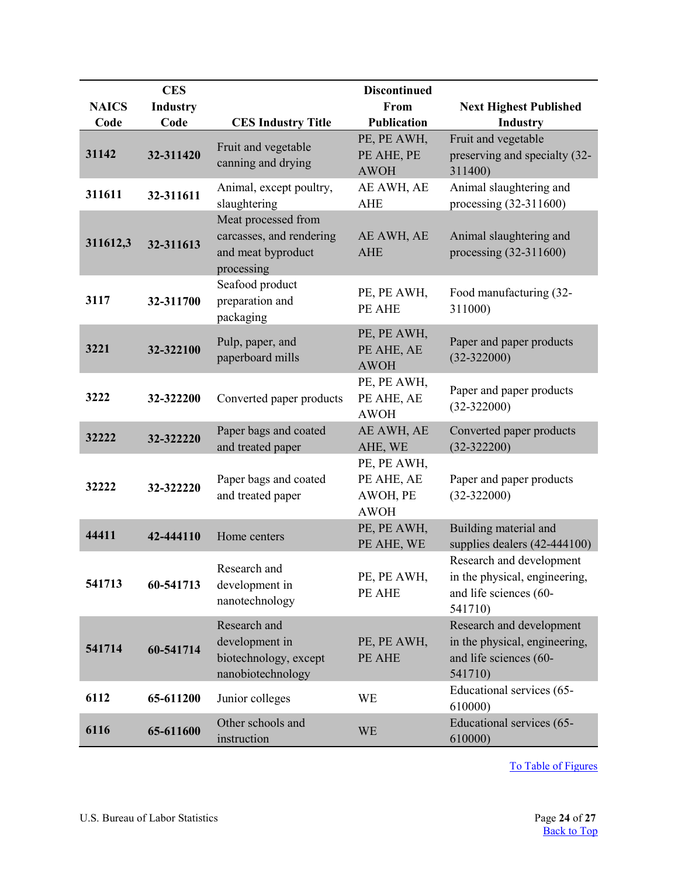|              | <b>CES</b>      |                                                                                     | <b>Discontinued</b>                                  |                                                                                                |
|--------------|-----------------|-------------------------------------------------------------------------------------|------------------------------------------------------|------------------------------------------------------------------------------------------------|
| <b>NAICS</b> | <b>Industry</b> |                                                                                     | From                                                 | <b>Next Highest Published</b>                                                                  |
| Code         | Code            | <b>CES Industry Title</b>                                                           | <b>Publication</b>                                   | <b>Industry</b>                                                                                |
| 31142        | 32-311420       | Fruit and vegetable<br>canning and drying                                           | PE, PE AWH,<br>PE AHE, PE<br><b>AWOH</b>             | Fruit and vegetable<br>preserving and specialty (32-<br>311400)                                |
| 311611       | 32-311611       | Animal, except poultry,<br>slaughtering                                             | AE AWH, AE<br><b>AHE</b>                             | Animal slaughtering and<br>processing $(32-311600)$                                            |
| 311612,3     | 32-311613       | Meat processed from<br>carcasses, and rendering<br>and meat byproduct<br>processing | AE AWH, AE<br><b>AHE</b>                             | Animal slaughtering and<br>processing (32-311600)                                              |
| 3117         | 32-311700       | Seafood product<br>preparation and<br>packaging                                     | PE, PE AWH,<br>PE AHE                                | Food manufacturing (32-<br>311000)                                                             |
| 3221         | 32-322100       | Pulp, paper, and<br>paperboard mills                                                | PE, PE AWH,<br>PE AHE, AE<br><b>AWOH</b>             | Paper and paper products<br>$(32 - 322000)$                                                    |
| 3222         | 32-322200       | Converted paper products                                                            | PE, PE AWH,<br>PE AHE, AE<br><b>AWOH</b>             | Paper and paper products<br>$(32-322000)$                                                      |
| 32222        | 32-322220       | Paper bags and coated<br>and treated paper                                          | AE AWH, AE<br>AHE, WE                                | Converted paper products<br>$(32-322200)$                                                      |
| 32222        | 32-322220       | Paper bags and coated<br>and treated paper                                          | PE, PE AWH,<br>PE AHE, AE<br>AWOH, PE<br><b>AWOH</b> | Paper and paper products<br>$(32-322000)$                                                      |
| 44411        | 42-444110       | Home centers                                                                        | PE, PE AWH,<br>PE AHE, WE                            | Building material and<br>supplies dealers (42-444100)                                          |
| 541713       | 60-541713       | Research and<br>development in<br>nanotechnology                                    | PE, PE AWH,<br>PE AHE                                | Research and development<br>in the physical, engineering,<br>and life sciences (60-<br>541710) |
| 541714       | 60-541714       | Research and<br>development in<br>biotechnology, except<br>nanobiotechnology        | PE, PE AWH,<br>PE AHE                                | Research and development<br>in the physical, engineering,<br>and life sciences (60-<br>541710) |
| 6112         | 65-611200       | Junior colleges                                                                     | <b>WE</b>                                            | Educational services (65-<br>610000)                                                           |
| 6116         | 65-611600       | Other schools and<br>instruction                                                    | <b>WE</b>                                            | Educational services (65-<br>610000)                                                           |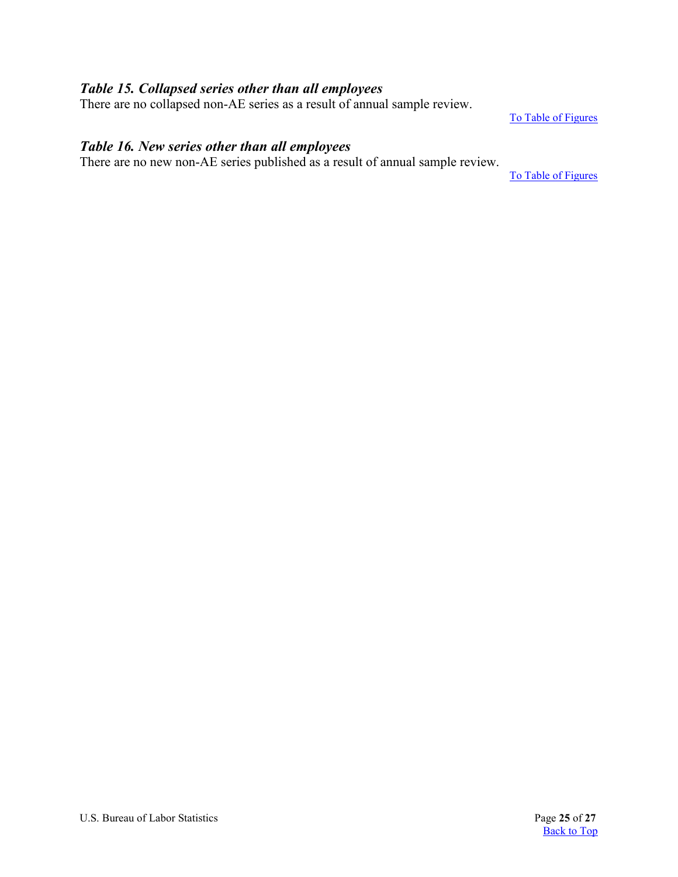### <span id="page-24-1"></span>*Table 15. Collapsed series other than all employees*

There are no collapsed non-AE series as a result of annual sample review.

[To Table of Figures](#page-26-0)

### <span id="page-24-0"></span>*Table 16. New series other than all employees*

There are no new non-AE series published as a result of annual sample review.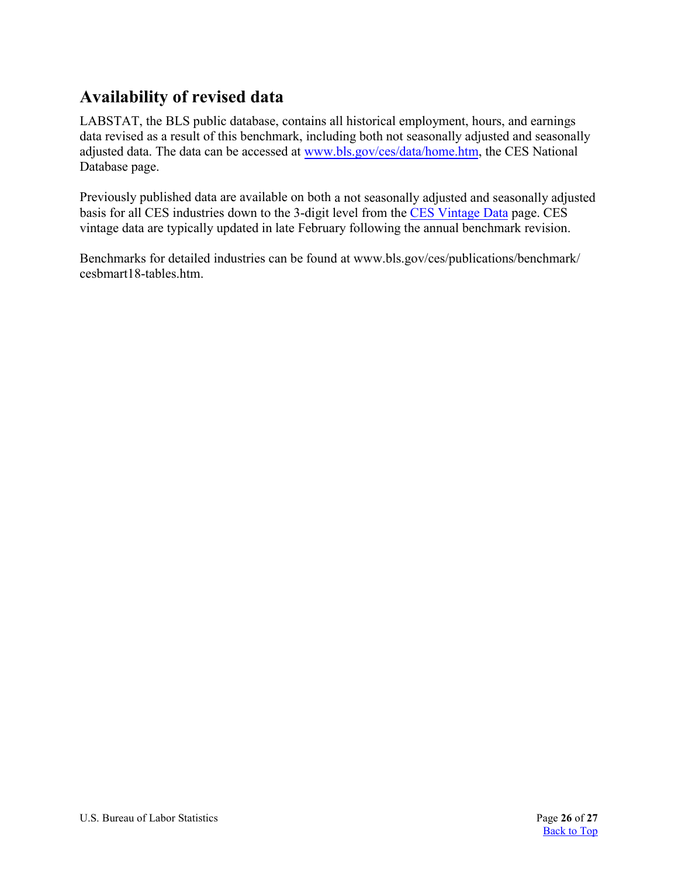# <span id="page-25-0"></span>**Availability of revised data**

LABSTAT, the BLS public database, contains all historical employment, hours, and earnings data revised as a result of this benchmark, including both not seasonally adjusted and seasonally adjusted data. The data can be accessed at [www.bls.gov/ces/data](https://www.bls.gov/ces/data/home.htm)/home.htm, the CES National Database page.

Previously published data are available on both a not seasonally adjusted and seasonally adjusted basis for all CES industries down to the 3-digit level from the [CES Vintage](http://www.bls.gov/web/empsit/cesvininfo.htm) Data page. CES vintage data are typically updated in late February following the annual benchmark revision.

Benchmarks for detailed industries can be found at [www.bls.gov/ces/publications/benchmark/](www.bls.gov/ces/publications/benchmark/cesbmart18-tables.htm) [cesbmart18-tables.htm.](www.bls.gov/ces/publications/benchmark/cesbmart18-tables.htm)